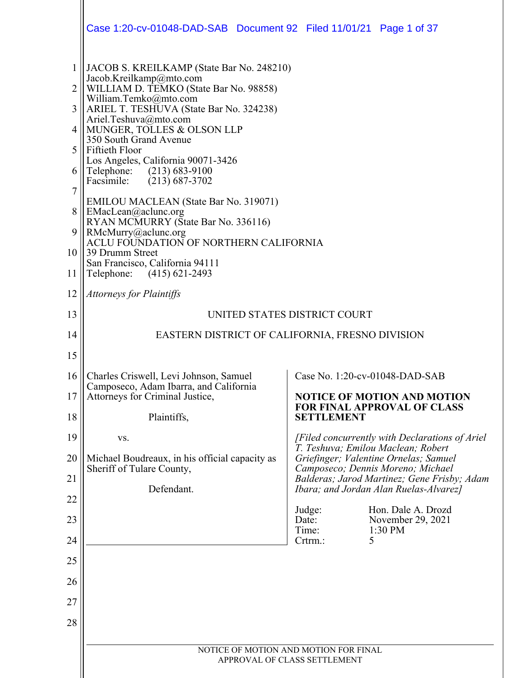|          | Case 1:20-cv-01048-DAD-SAB  Document 92  Filed 11/01/21  Page 1 of 37                                          |                                                                                       |  |
|----------|----------------------------------------------------------------------------------------------------------------|---------------------------------------------------------------------------------------|--|
| 2        | JACOB S. KREILKAMP (State Bar No. 248210)<br>Jacob.Kreilkamp@mto.com<br>WILLIAM D. TEMKO (State Bar No. 98858) |                                                                                       |  |
| 3        | William.Temko@mto.com<br>ARIEL T. TESHUVA (State Bar No. 324238)<br>Ariel.Teshuva@mto.com                      |                                                                                       |  |
| 4        | MUNGER, TOLLES & OLSON LLP<br>350 South Grand Avenue                                                           |                                                                                       |  |
| 5        | Fiftieth Floor<br>Los Angeles, California 90071-3426                                                           |                                                                                       |  |
| 6        | Telephone: (213) 683-9100<br>Facsimile:<br>$(213) 687 - 3702$                                                  |                                                                                       |  |
| $\tau$   | <b>EMILOU MACLEAN (State Bar No. 319071)</b>                                                                   |                                                                                       |  |
| 8        | EMacLean@aclunc.org<br>RYAN MCMURRY (State Bar No. 336116)                                                     |                                                                                       |  |
| 9<br>10  | RMcMurry@aclunc.org<br>ACLU FOUNDATION OF NORTHERN CALIFORNIA<br>39 Drumm Street                               |                                                                                       |  |
| 11       | San Francisco, California 94111<br>Telephone: (415) 621-2493                                                   |                                                                                       |  |
| 12       | <b>Attorneys for Plaintiffs</b>                                                                                |                                                                                       |  |
| 13       | UNITED STATES DISTRICT COURT                                                                                   |                                                                                       |  |
| 14       |                                                                                                                | EASTERN DISTRICT OF CALIFORNIA, FRESNO DIVISION                                       |  |
| 15       |                                                                                                                |                                                                                       |  |
| 16       | Charles Criswell, Levi Johnson, Samuel<br>Camposeco, Adam Ibarra, and California                               | Case No. 1:20-cv-01048-DAD-SAB                                                        |  |
| 17       | Attorneys for Criminal Justice,                                                                                | <b>NOTICE OF MOTION AND MOTION</b><br><b>FOR FINAL APPROVAL OF CLASS</b>              |  |
| 18       | Plaintiffs,                                                                                                    | <b>SETTLEMENT</b>                                                                     |  |
| 19       | VS.                                                                                                            | [Filed concurrently with Declarations of Ariel]<br>T. Teshuva; Emilou Maclean; Robert |  |
| 20       | Michael Boudreaux, in his official capacity as<br>Sheriff of Tulare County,                                    | Griefinger; Valentine Ornelas; Samuel<br>Camposeco; Dennis Moreno; Michael            |  |
| 21       | Defendant.                                                                                                     | Balderas; Jarod Martinez; Gene Frisby; Adam<br>Ibara; and Jordan Alan Ruelas-Alvarez] |  |
| 22       |                                                                                                                | Judge:<br>Hon. Dale A. Drozd                                                          |  |
| 23<br>24 |                                                                                                                | Date:<br>November 29, 2021<br>Time:<br>1:30 PM<br>Crtrm.:<br>5                        |  |
| 25       |                                                                                                                |                                                                                       |  |
| 26       |                                                                                                                |                                                                                       |  |
| 27       |                                                                                                                |                                                                                       |  |
| 28       |                                                                                                                |                                                                                       |  |
|          |                                                                                                                | NOTICE OF MOTION AND MOTION FOR FINAL                                                 |  |
|          |                                                                                                                | APPROVAL OF CLASS SETTLEMENT                                                          |  |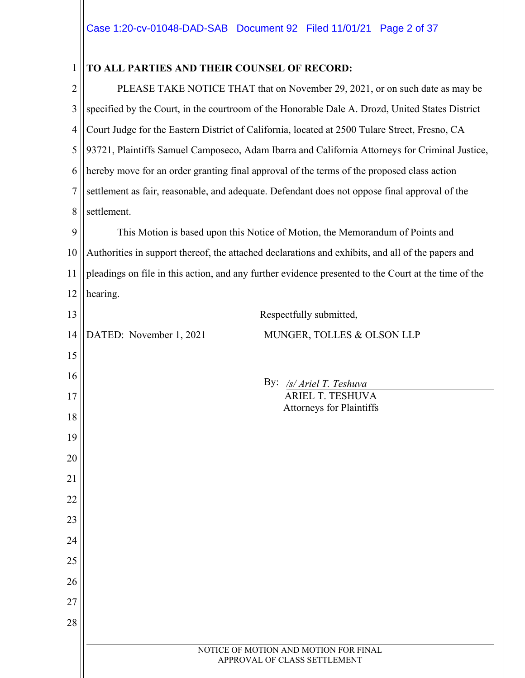| $\mathbf{1}$   | TO ALL PARTIES AND THEIR COUNSEL OF RECORD:                                                          |  |  |
|----------------|------------------------------------------------------------------------------------------------------|--|--|
| $\overline{c}$ | PLEASE TAKE NOTICE THAT that on November 29, 2021, or on such date as may be                         |  |  |
| 3              | specified by the Court, in the courtroom of the Honorable Dale A. Drozd, United States District      |  |  |
| 4              | Court Judge for the Eastern District of California, located at 2500 Tulare Street, Fresno, CA        |  |  |
| 5              | 93721, Plaintiffs Samuel Camposeco, Adam Ibarra and California Attorneys for Criminal Justice,       |  |  |
| 6              | hereby move for an order granting final approval of the terms of the proposed class action           |  |  |
| $\overline{7}$ | settlement as fair, reasonable, and adequate. Defendant does not oppose final approval of the        |  |  |
| 8              | settlement.                                                                                          |  |  |
| 9              | This Motion is based upon this Notice of Motion, the Memorandum of Points and                        |  |  |
| 10             | Authorities in support thereof, the attached declarations and exhibits, and all of the papers and    |  |  |
| 11             | pleadings on file in this action, and any further evidence presented to the Court at the time of the |  |  |
| 12             | hearing.                                                                                             |  |  |
| 13             | Respectfully submitted,                                                                              |  |  |
| 14             | DATED: November 1, 2021<br>MUNGER, TOLLES & OLSON LLP                                                |  |  |
| 15             |                                                                                                      |  |  |
| 16             | By:<br>/s/ Ariel T. Teshuva                                                                          |  |  |
| 17             | ARIEL T. TESHUVA<br><b>Attorneys for Plaintiffs</b>                                                  |  |  |
| 18             |                                                                                                      |  |  |
| 19             |                                                                                                      |  |  |
| 20             |                                                                                                      |  |  |
| 21             |                                                                                                      |  |  |
| 22             |                                                                                                      |  |  |
| 23             |                                                                                                      |  |  |
| 24             |                                                                                                      |  |  |
| 25             |                                                                                                      |  |  |
| 26             |                                                                                                      |  |  |
| 27             |                                                                                                      |  |  |
| 28             |                                                                                                      |  |  |
|                | NOTICE OF MOTION AND MOTION FOR FINAL<br>APPROVAL OF CLASS SETTLEMENT                                |  |  |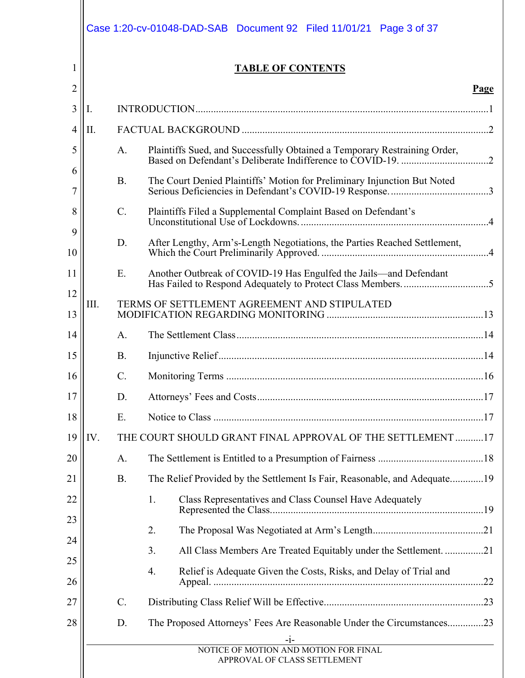| 1              |      |                 | <b>TABLE OF CONTENTS</b>                                                  |
|----------------|------|-----------------|---------------------------------------------------------------------------|
| $\overline{2}$ |      |                 | Page                                                                      |
| 3              | Ι.   |                 |                                                                           |
| 4              | II.  |                 |                                                                           |
| 5<br>6         |      | A.              | Plaintiffs Sued, and Successfully Obtained a Temporary Restraining Order, |
| 7              |      | <b>B.</b>       | The Court Denied Plaintiffs' Motion for Preliminary Injunction But Noted  |
| 8              |      | $C$ .           | Plaintiffs Filed a Supplemental Complaint Based on Defendant's            |
| 9<br>10        |      | D.              | After Lengthy, Arm's-Length Negotiations, the Parties Reached Settlement, |
| 11             |      | E.              | Another Outbreak of COVID-19 Has Engulfed the Jails-and Defendant         |
| 12<br>13       | III. |                 |                                                                           |
| 14             |      | A.              |                                                                           |
| 15             |      | <b>B.</b>       |                                                                           |
| 16             |      | C.              |                                                                           |
| 17             |      | D.              |                                                                           |
| 18             |      | E.              |                                                                           |
| 19             | IV.  |                 | THE COURT SHOULD GRANT FINAL APPROVAL OF THE SETTLEMENT 17                |
| 20             |      | A.              |                                                                           |
| 21             |      | <b>B.</b>       | The Relief Provided by the Settlement Is Fair, Reasonable, and Adequate19 |
| 22             |      |                 | Class Representatives and Class Counsel Have Adequately<br>1.             |
| 23             |      |                 | 2.                                                                        |
| 24             |      |                 | All Class Members Are Treated Equitably under the Settlement. 21<br>3.    |
| 25<br>26       |      |                 | 4.<br>Relief is Adequate Given the Costs, Risks, and Delay of Trial and   |
| 27             |      | $\mathcal{C}$ . |                                                                           |
| 28             |      | D.              | The Proposed Attorneys' Fees Are Reasonable Under the Circumstances23     |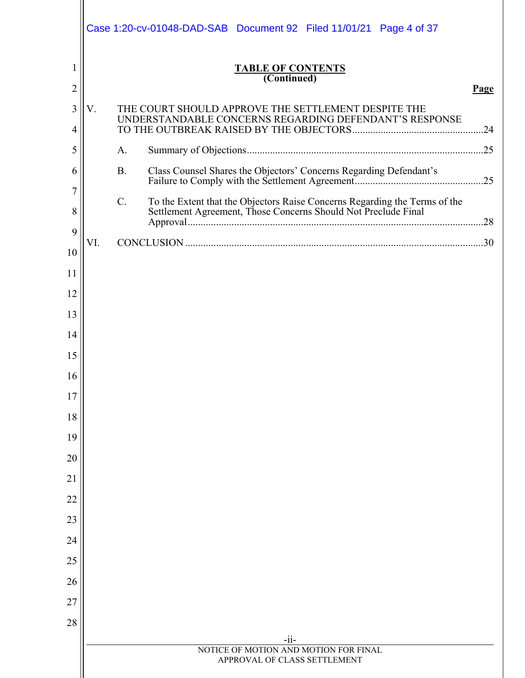|                | Case 1:20-cv-01048-DAD-SAB  Document 92  Filed 11/01/21  Page 4 of 37                                                                        |
|----------------|----------------------------------------------------------------------------------------------------------------------------------------------|
| 1              | <b>TABLE OF CONTENTS</b>                                                                                                                     |
| $\overline{2}$ | (Continued)<br>Page                                                                                                                          |
| 3              | V.<br>THE COURT SHOULD APPROVE THE SETTLEMENT DESPITE THE                                                                                    |
| 4              | UNDERSTANDABLE CONCERNS REGARDING DEFENDANT'S RESPONSE                                                                                       |
| 5              | A.                                                                                                                                           |
| 6              | <b>B.</b><br>Class Counsel Shares the Objectors' Concerns Regarding Defendant's                                                              |
| 7              | $C$ .                                                                                                                                        |
| 8              | To the Extent that the Objectors Raise Concerns Regarding the Terms of the<br>Settlement Agreement, Those Concerns Should Not Preclude Final |
| 9              | VI.                                                                                                                                          |
| 10             |                                                                                                                                              |
| 11             |                                                                                                                                              |
| 12             |                                                                                                                                              |
| 13             |                                                                                                                                              |
| 14             |                                                                                                                                              |
| 15             |                                                                                                                                              |
| 16             |                                                                                                                                              |
| 17             |                                                                                                                                              |
| 18             |                                                                                                                                              |
| 19<br>20       |                                                                                                                                              |
| 21             |                                                                                                                                              |
| 22             |                                                                                                                                              |
| 23             |                                                                                                                                              |
| 24             |                                                                                                                                              |
| 25             |                                                                                                                                              |
| 26             |                                                                                                                                              |
| 27             |                                                                                                                                              |
| 28             |                                                                                                                                              |
|                | $-ii-$<br>NOTICE OF MOTION AND MOTION FOR FINAL                                                                                              |
|                | APPROVAL OF CLASS SETTLEMENT                                                                                                                 |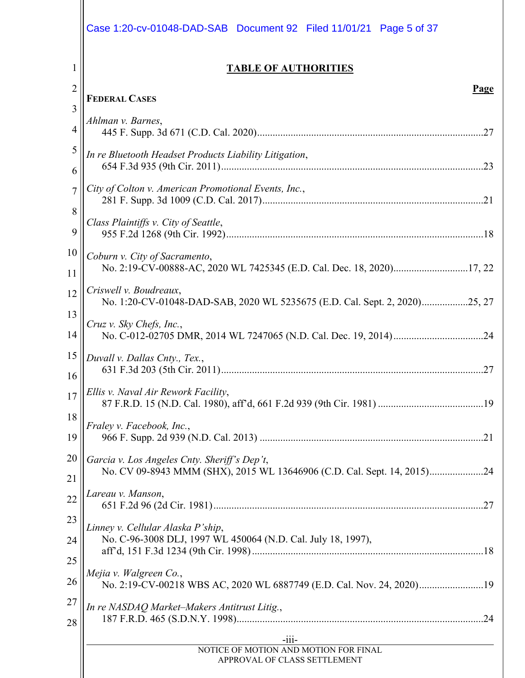|                | Case 1:20-cv-01048-DAD-SAB  Document 92  Filed 11/01/21  Page 5 of 37                                |
|----------------|------------------------------------------------------------------------------------------------------|
| 1              | <b>TABLE OF AUTHORITIES</b>                                                                          |
| $\overline{2}$ | Page                                                                                                 |
| 3              | <b>FEDERAL CASES</b>                                                                                 |
| 4              | Ahlman v. Barnes,                                                                                    |
| 5              | In re Bluetooth Headset Products Liability Litigation,                                               |
| 6              |                                                                                                      |
| $\overline{7}$ | City of Colton v. American Promotional Events, Inc.,                                                 |
| 8              | Class Plaintiffs v. City of Seattle,                                                                 |
| 9              |                                                                                                      |
| 10             | Coburn v. City of Sacramento,                                                                        |
| 11             | No. 2:19-CV-00888-AC, 2020 WL 7425345 (E.D. Cal. Dec. 18, 2020)17, 22                                |
| 12             | Criswell v. Boudreaux,<br>No. 1:20-CV-01048-DAD-SAB, 2020 WL 5235675 (E.D. Cal. Sept. 2, 2020)25, 27 |
| 13             | Cruz v. Sky Chefs, Inc.,                                                                             |
| 14             |                                                                                                      |
| 15             | Duvall v. Dallas Cnty., Tex.,                                                                        |
| 16             |                                                                                                      |
| 17             | Ellis v. Naval Air Rework Facility,                                                                  |
| 18             | Fraley v. Facebook, Inc.,                                                                            |
| 19             |                                                                                                      |
| 20             | Garcia v. Los Angeles Cnty. Sheriff's Dep't,                                                         |
| 21             |                                                                                                      |
| 22             | Lareau v. Manson,                                                                                    |
| 23<br>24       | Linney v. Cellular Alaska P'ship,<br>No. C-96-3008 DLJ, 1997 WL 450064 (N.D. Cal. July 18, 1997),    |
| 25             | Mejia v. Walgreen Co.,                                                                               |
| 26             | No. 2:19-CV-00218 WBS AC, 2020 WL 6887749 (E.D. Cal. Nov. 24, 2020)19                                |
| 27             | In re NASDAQ Market-Makers Antitrust Litig.,                                                         |
| 28             |                                                                                                      |
|                | $-111-$<br>NOTICE OF MOTION AND MOTION FOR FINAL<br>APPROVAL OF CLASS SETTLEMENT                     |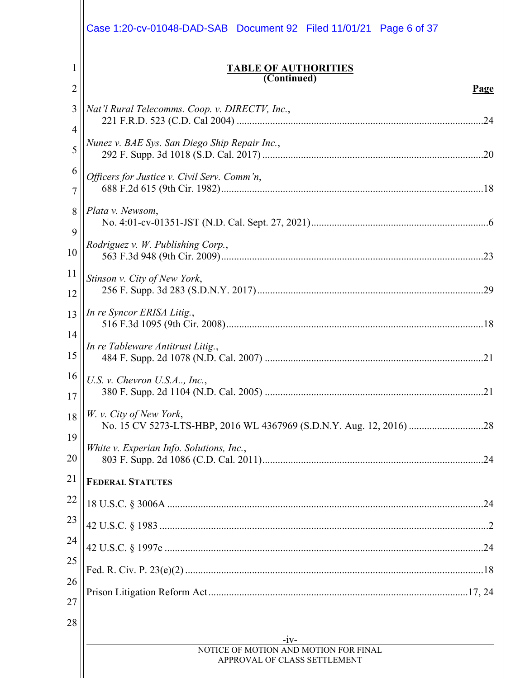|                     | Case 1:20-cv-01048-DAD-SAB  Document 92  Filed 11/01/21  Page 6 of 37                           |
|---------------------|-------------------------------------------------------------------------------------------------|
| 1<br>$\overline{2}$ | <b>TABLE OF AUTHORITIES</b><br>(Continued)<br>Page                                              |
| 3<br>4<br>5         | Nat'l Rural Telecomms. Coop. v. DIRECTV, Inc.,<br>Nunez v. BAE Sys. San Diego Ship Repair Inc., |
| 6<br>7              | Officers for Justice v. Civil Serv. Comm'n,                                                     |
| 8<br>9<br>10        | Plata v. Newsom,<br>Rodriguez v. W. Publishing Corp.,                                           |
| 11<br>12            | Stinson v. City of New York,                                                                    |
| 13<br>14            | In re Syncor ERISA Litig.,                                                                      |
| 15<br>16            | In re Tableware Antitrust Litig.,<br>U.S. v. Chevron U.S.A., Inc.,                              |
| 17<br>18            | W. v. City of New York,                                                                         |
| 19<br>20            | White v. Experian Info. Solutions, Inc.,                                                        |
| 21                  | <b>FEDERAL STATUTES</b>                                                                         |
| 22<br>23            |                                                                                                 |
| 24                  |                                                                                                 |
| 25<br>26            |                                                                                                 |
| 27<br>28            |                                                                                                 |
|                     | $-1V-$<br>NOTICE OF MOTION AND MOTION FOR FINAL<br>APPROVAL OF CLASS SETTLEMENT                 |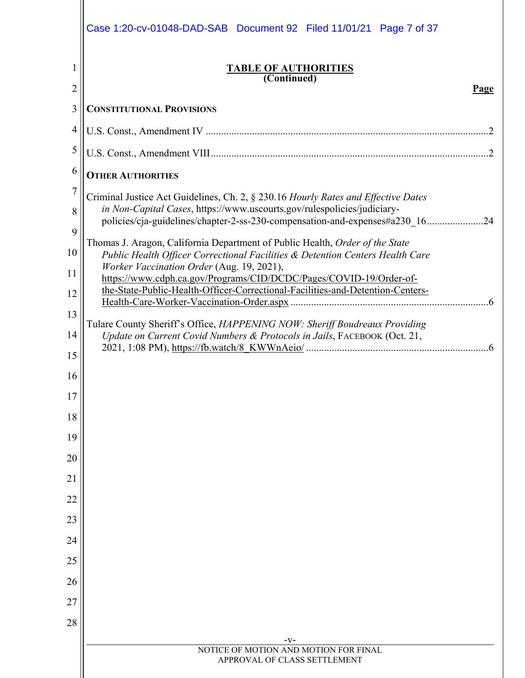|                | Case 1:20-cv-01048-DAD-SAB  Document 92  Filed 11/01/21  Page 7 of 37                                                                                                                                                                        |
|----------------|----------------------------------------------------------------------------------------------------------------------------------------------------------------------------------------------------------------------------------------------|
| 1              | <b>TABLE OF AUTHORITIES</b>                                                                                                                                                                                                                  |
| $\overline{c}$ | (Continued)<br>Page                                                                                                                                                                                                                          |
| 3              | <b>CONSTITUTIONAL PROVISIONS</b>                                                                                                                                                                                                             |
| 4              |                                                                                                                                                                                                                                              |
| 5              |                                                                                                                                                                                                                                              |
| 6              | <b>OTHER AUTHORITIES</b>                                                                                                                                                                                                                     |
| 7<br>8         | Criminal Justice Act Guidelines, Ch. 2, § 230.16 Hourly Rates and Effective Dates<br>in Non-Capital Cases, https://www.uscourts.gov/rulespolicies/judiciary-<br>policies/cja-guidelines/chapter-2-ss-230-compensation-and-expenses#a230 1624 |
| 9<br>10        | Thomas J. Aragon, California Department of Public Health, Order of the State<br>Public Health Officer Correctional Facilities & Detention Centers Health Care                                                                                |
| 11             | Worker Vaccination Order (Aug. 19, 2021),                                                                                                                                                                                                    |
| 12             | https://www.cdph.ca.gov/Programs/CID/DCDC/Pages/COVID-19/Order-of-<br>the-State-Public-Health-Officer-Correctional-Facilities-and-Detention-Centers-                                                                                         |
| 13             |                                                                                                                                                                                                                                              |
| 14             | Tulare County Sheriff's Office, HAPPENING NOW: Sheriff Boudreaux Providing<br>Update on Current Covid Numbers & Protocols in Jails, FACEBOOK (Oct. 21,                                                                                       |
| 15             |                                                                                                                                                                                                                                              |
| 16             |                                                                                                                                                                                                                                              |
| 17             |                                                                                                                                                                                                                                              |
| 18             |                                                                                                                                                                                                                                              |
| 19             |                                                                                                                                                                                                                                              |
| 20             |                                                                                                                                                                                                                                              |
| 21             |                                                                                                                                                                                                                                              |
| 22             |                                                                                                                                                                                                                                              |
| 23             |                                                                                                                                                                                                                                              |
| 24             |                                                                                                                                                                                                                                              |
| 25<br>26       |                                                                                                                                                                                                                                              |
| 27             |                                                                                                                                                                                                                                              |
| 28             |                                                                                                                                                                                                                                              |
|                | $-V-$                                                                                                                                                                                                                                        |
|                | NOTICE OF MOTION AND MOTION FOR FINAL<br>APPROVAL OF CLASS SETTLEMENT                                                                                                                                                                        |
|                |                                                                                                                                                                                                                                              |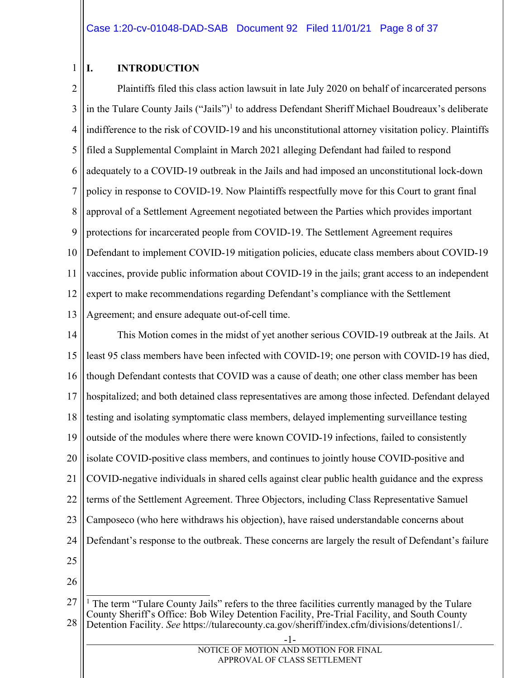#### 1 **I. INTRODUCTION**

2 3 4 5 6 7 8 9 10 11 12 13 Plaintiffs filed this class action lawsuit in late July 2020 on behalf of incarcerated persons in the Tulare County Jails ("Jails")<sup>1</sup> to address Defendant Sheriff Michael Boudreaux's deliberate indifference to the risk of COVID-19 and his unconstitutional attorney visitation policy. Plaintiffs filed a Supplemental Complaint in March 2021 alleging Defendant had failed to respond adequately to a COVID-19 outbreak in the Jails and had imposed an unconstitutional lock-down policy in response to COVID-19. Now Plaintiffs respectfully move for this Court to grant final approval of a Settlement Agreement negotiated between the Parties which provides important protections for incarcerated people from COVID-19. The Settlement Agreement requires Defendant to implement COVID-19 mitigation policies, educate class members about COVID-19 vaccines, provide public information about COVID-19 in the jails; grant access to an independent expert to make recommendations regarding Defendant's compliance with the Settlement Agreement; and ensure adequate out-of-cell time.

14 15 16 17 18 19 20 21 22 23 24 25 26 This Motion comes in the midst of yet another serious COVID-19 outbreak at the Jails. At least 95 class members have been infected with COVID-19; one person with COVID-19 has died, though Defendant contests that COVID was a cause of death; one other class member has been hospitalized; and both detained class representatives are among those infected. Defendant delayed testing and isolating symptomatic class members, delayed implementing surveillance testing outside of the modules where there were known COVID-19 infections, failed to consistently isolate COVID-positive class members, and continues to jointly house COVID-positive and COVID-negative individuals in shared cells against clear public health guidance and the express terms of the Settlement Agreement. Three Objectors, including Class Representative Samuel Camposeco (who here withdraws his objection), have raised understandable concerns about Defendant's response to the outbreak. These concerns are largely the result of Defendant's failure  $\overline{a}$ 

<sup>27</sup> 28 <sup>1</sup> The term "Tulare County Jails" refers to the three facilities currently managed by the Tulare County Sheriff's Office: Bob Wiley Detention Facility, Pre-Trial Facility, and South County Detention Facility. *See* https://tularecounty.ca.gov/sheriff/index.cfm/divisions/detentions1/.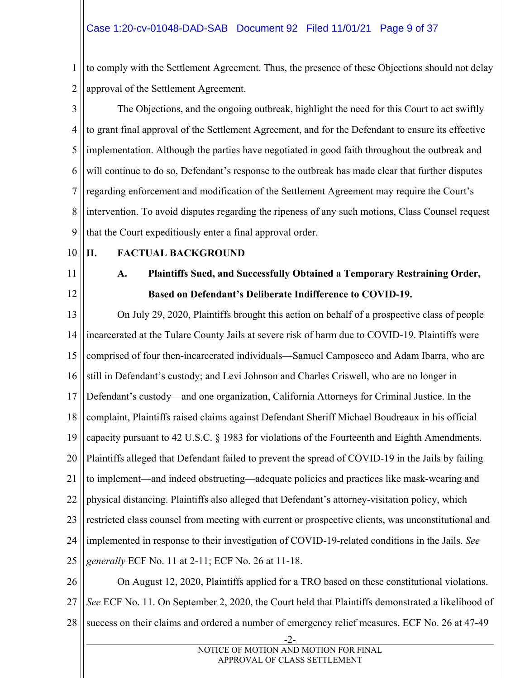1 2 to comply with the Settlement Agreement. Thus, the presence of these Objections should not delay approval of the Settlement Agreement.

3 4 5 6 7 8 9 The Objections, and the ongoing outbreak, highlight the need for this Court to act swiftly to grant final approval of the Settlement Agreement, and for the Defendant to ensure its effective implementation. Although the parties have negotiated in good faith throughout the outbreak and will continue to do so, Defendant's response to the outbreak has made clear that further disputes regarding enforcement and modification of the Settlement Agreement may require the Court's intervention. To avoid disputes regarding the ripeness of any such motions, Class Counsel request that the Court expeditiously enter a final approval order.

10

### **II. FACTUAL BACKGROUND**

11

12

### **A. Plaintiffs Sued, and Successfully Obtained a Temporary Restraining Order, Based on Defendant's Deliberate Indifference to COVID-19.**

13 14 15 16 17 18 19 20 21 22 23 24 25 26 On July 29, 2020, Plaintiffs brought this action on behalf of a prospective class of people incarcerated at the Tulare County Jails at severe risk of harm due to COVID-19. Plaintiffs were comprised of four then-incarcerated individuals—Samuel Camposeco and Adam Ibarra, who are still in Defendant's custody; and Levi Johnson and Charles Criswell, who are no longer in Defendant's custody—and one organization, California Attorneys for Criminal Justice. In the complaint, Plaintiffs raised claims against Defendant Sheriff Michael Boudreaux in his official capacity pursuant to 42 U.S.C. § 1983 for violations of the Fourteenth and Eighth Amendments. Plaintiffs alleged that Defendant failed to prevent the spread of COVID-19 in the Jails by failing to implement—and indeed obstructing—adequate policies and practices like mask-wearing and physical distancing. Plaintiffs also alleged that Defendant's attorney-visitation policy, which restricted class counsel from meeting with current or prospective clients, was unconstitutional and implemented in response to their investigation of COVID-19-related conditions in the Jails. *See generally* ECF No. 11 at 2-11; ECF No. 26 at 11-18.

27 28 On August 12, 2020, Plaintiffs applied for a TRO based on these constitutional violations. *See* ECF No. 11. On September 2, 2020, the Court held that Plaintiffs demonstrated a likelihood of success on their claims and ordered a number of emergency relief measures. ECF No. 26 at 47-49

 <sup>-2-</sup>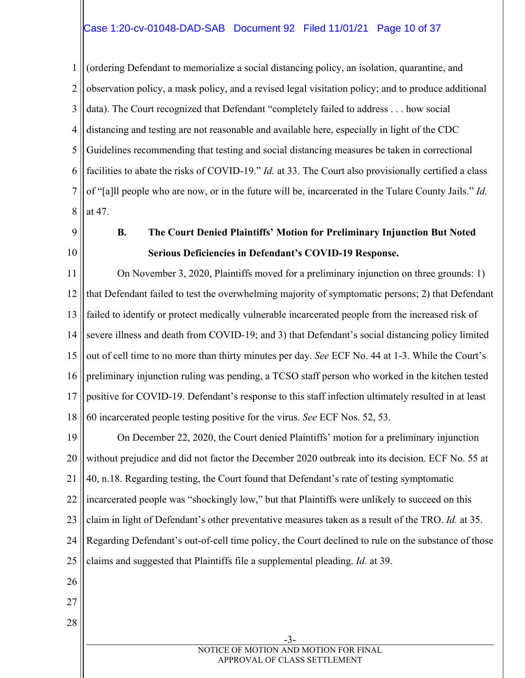#### Case 1:20-cv-01048-DAD-SAB Document 92 Filed 11/01/21 Page 10 of 37

1 2 3 4 5 6 7 8 (ordering Defendant to memorialize a social distancing policy, an isolation, quarantine, and observation policy, a mask policy, and a revised legal visitation policy; and to produce additional data). The Court recognized that Defendant "completely failed to address . . . how social distancing and testing are not reasonable and available here, especially in light of the CDC Guidelines recommending that testing and social distancing measures be taken in correctional facilities to abate the risks of COVID-19." *Id.* at 33. The Court also provisionally certified a class of "[a]ll people who are now, or in the future will be, incarcerated in the Tulare County Jails." *Id.* at 47.

- 9
- 10

### **B. The Court Denied Plaintiffs' Motion for Preliminary Injunction But Noted Serious Deficiencies in Defendant's COVID-19 Response.**

11 12 13 14 15 16 17 18 On November 3, 2020, Plaintiffs moved for a preliminary injunction on three grounds: 1) that Defendant failed to test the overwhelming majority of symptomatic persons; 2) that Defendant failed to identify or protect medically vulnerable incarcerated people from the increased risk of severe illness and death from COVID-19; and 3) that Defendant's social distancing policy limited out of cell time to no more than thirty minutes per day. *See* ECF No. 44 at 1-3. While the Court's preliminary injunction ruling was pending, a TCSO staff person who worked in the kitchen tested positive for COVID-19. Defendant's response to this staff infection ultimately resulted in at least 60 incarcerated people testing positive for the virus. *See* ECF Nos. 52, 53.

19 20 21 22 23 24 25 26 On December 22, 2020, the Court denied Plaintiffs' motion for a preliminary injunction without prejudice and did not factor the December 2020 outbreak into its decision. ECF No. 55 at 40, n.18. Regarding testing, the Court found that Defendant's rate of testing symptomatic incarcerated people was "shockingly low," but that Plaintiffs were unlikely to succeed on this claim in light of Defendant's other preventative measures taken as a result of the TRO. *Id.* at 35. Regarding Defendant's out-of-cell time policy, the Court declined to rule on the substance of those claims and suggested that Plaintiffs file a supplemental pleading. *Id.* at 39.

- 27
- 28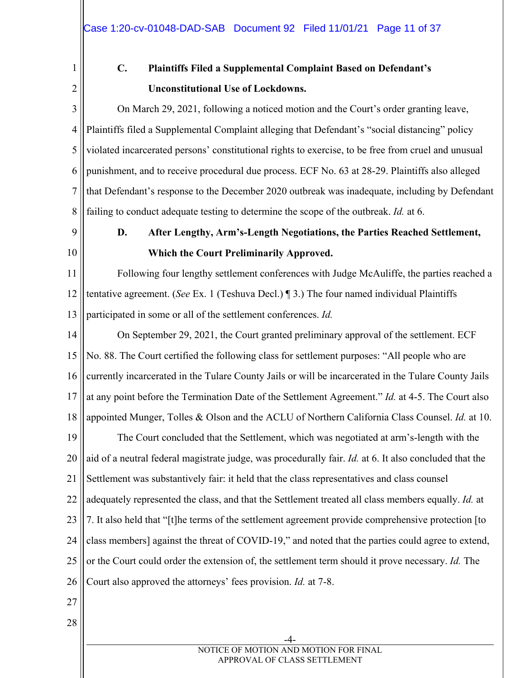1 2

# **C. Plaintiffs Filed a Supplemental Complaint Based on Defendant's Unconstitutional Use of Lockdowns.**

3 4 5 6 7 8 On March 29, 2021, following a noticed motion and the Court's order granting leave, Plaintiffs filed a Supplemental Complaint alleging that Defendant's "social distancing" policy violated incarcerated persons' constitutional rights to exercise, to be free from cruel and unusual punishment, and to receive procedural due process. ECF No. 63 at 28-29. Plaintiffs also alleged that Defendant's response to the December 2020 outbreak was inadequate, including by Defendant failing to conduct adequate testing to determine the scope of the outbreak. *Id.* at 6.

- 9
- 10

### **D. After Lengthy, Arm's-Length Negotiations, the Parties Reached Settlement, Which the Court Preliminarily Approved.**

11 12 13 Following four lengthy settlement conferences with Judge McAuliffe, the parties reached a tentative agreement. (*See* Ex. 1 (Teshuva Decl.) ¶ 3.) The four named individual Plaintiffs participated in some or all of the settlement conferences. *Id.*

14 15 16 17 18 19 20 21 22 23 24 25 26 On September 29, 2021, the Court granted preliminary approval of the settlement. ECF No. 88. The Court certified the following class for settlement purposes: "All people who are currently incarcerated in the Tulare County Jails or will be incarcerated in the Tulare County Jails at any point before the Termination Date of the Settlement Agreement." *Id.* at 4-5. The Court also appointed Munger, Tolles & Olson and the ACLU of Northern California Class Counsel. *Id.* at 10. The Court concluded that the Settlement, which was negotiated at arm's-length with the aid of a neutral federal magistrate judge, was procedurally fair. *Id.* at 6. It also concluded that the Settlement was substantively fair: it held that the class representatives and class counsel adequately represented the class, and that the Settlement treated all class members equally. *Id.* at 7. It also held that "[t]he terms of the settlement agreement provide comprehensive protection [to class members] against the threat of COVID-19," and noted that the parties could agree to extend, or the Court could order the extension of, the settlement term should it prove necessary. *Id.* The Court also approved the attorneys' fees provision. *Id.* at 7-8.

- 27
- 28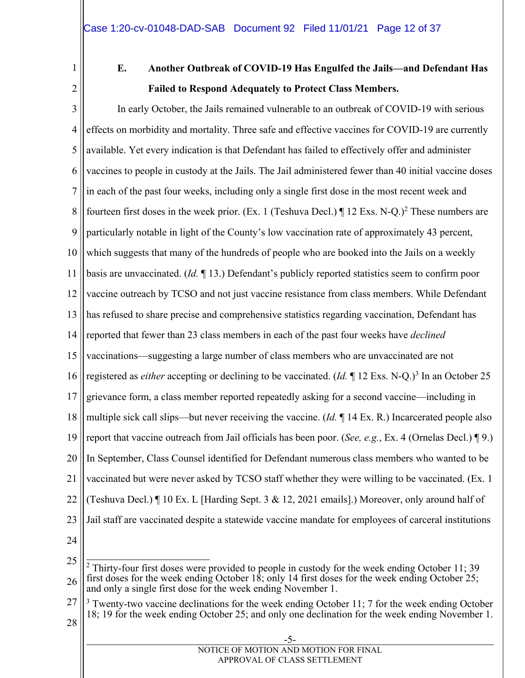1 2

## **E. Another Outbreak of COVID-19 Has Engulfed the Jails—and Defendant Has Failed to Respond Adequately to Protect Class Members.**

3 4 5 6 7 8 9 10 11 12 13 14 15 16 17 18 19 20 21 22 23 24 In early October, the Jails remained vulnerable to an outbreak of COVID-19 with serious effects on morbidity and mortality. Three safe and effective vaccines for COVID-19 are currently available. Yet every indication is that Defendant has failed to effectively offer and administer vaccines to people in custody at the Jails. The Jail administered fewer than 40 initial vaccine doses in each of the past four weeks, including only a single first dose in the most recent week and fourteen first doses in the week prior. (Ex. 1 (Teshuva Decl.)  $\P$  12 Exs. N-Q.)<sup>2</sup> These numbers are particularly notable in light of the County's low vaccination rate of approximately 43 percent, which suggests that many of the hundreds of people who are booked into the Jails on a weekly basis are unvaccinated. (*Id.* ¶ 13.) Defendant's publicly reported statistics seem to confirm poor vaccine outreach by TCSO and not just vaccine resistance from class members. While Defendant has refused to share precise and comprehensive statistics regarding vaccination, Defendant has reported that fewer than 23 class members in each of the past four weeks have *declined*  vaccinations—suggesting a large number of class members who are unvaccinated are not registered as *either* accepting or declining to be vaccinated. (*Id.* 12 Exs. N-Q.)<sup>3</sup> In an October 25 grievance form, a class member reported repeatedly asking for a second vaccine—including in multiple sick call slips—but never receiving the vaccine. (*Id.* ¶ 14 Ex. R.) Incarcerated people also report that vaccine outreach from Jail officials has been poor. (*See, e.g.*, Ex. 4 (Ornelas Decl.) ¶ 9.) In September, Class Counsel identified for Defendant numerous class members who wanted to be vaccinated but were never asked by TCSO staff whether they were willing to be vaccinated. (Ex. 1 (Teshuva Decl.)  $\P$  10 Ex. L [Harding Sept. 3 & 12, 2021 emails].) Moreover, only around half of Jail staff are vaccinated despite a statewide vaccine mandate for employees of carceral institutions

27 3 Twenty-two vaccine declinations for the week ending October 11; 7 for the week ending October 18; 19 for the week ending October 25; and only one declination for the week ending November 1.

<sup>25</sup> 26  $\overline{a}$  $2$  Thirty-four first doses were provided to people in custody for the week ending October 11; 39 first doses for the week ending October 18; only 14 first doses for the week ending October 25; and only a single first dose for the week ending November 1.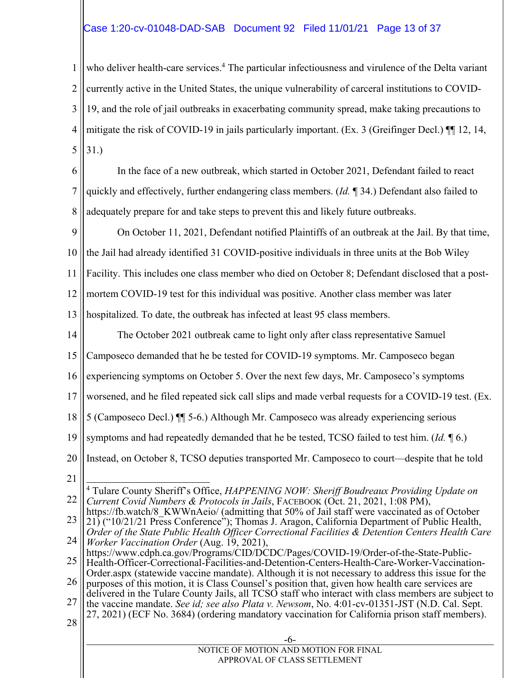#### Case 1:20-cv-01048-DAD-SAB Document 92 Filed 11/01/21 Page 13 of 37

1 2 3 4 5 who deliver health-care services.<sup>4</sup> The particular infectiousness and virulence of the Delta variant currently active in the United States, the unique vulnerability of carceral institutions to COVID-19, and the role of jail outbreaks in exacerbating community spread, make taking precautions to mitigate the risk of COVID-19 in jails particularly important. (Ex. 3 (Greifinger Decl.) ¶¶ 12, 14, 31.)

6 7 8 In the face of a new outbreak, which started in October 2021, Defendant failed to react quickly and effectively, further endangering class members. (*Id.* ¶ 34.) Defendant also failed to adequately prepare for and take steps to prevent this and likely future outbreaks.

9 On October 11, 2021, Defendant notified Plaintiffs of an outbreak at the Jail. By that time,

10 the Jail had already identified 31 COVID-positive individuals in three units at the Bob Wiley

11 Facility. This includes one class member who died on October 8; Defendant disclosed that a post-

12 mortem COVID-19 test for this individual was positive. Another class member was later

13 hospitalized. To date, the outbreak has infected at least 95 class members.

14 The October 2021 outbreak came to light only after class representative Samuel

15 Camposeco demanded that he be tested for COVID-19 symptoms. Mr. Camposeco began

16 experiencing symptoms on October 5. Over the next few days, Mr. Camposeco's symptoms

17 worsened, and he filed repeated sick call slips and made verbal requests for a COVID-19 test. (Ex.

18 5 (Camposeco Decl.) ¶¶ 5-6.) Although Mr. Camposeco was already experiencing serious

19 symptoms and had repeatedly demanded that he be tested, TCSO failed to test him. (*Id.* ¶ 6.)

20 Instead, on October 8, TCSO deputies transported Mr. Camposeco to court—despite that he told

21

22  $\overline{a}$ 4 Tulare County Sheriff's Office, *HAPPENING NOW: Sheriff Boudreaux Providing Update on Current Covid Numbers & Protocols in Jails*, FACEBOOK (Oct. 21, 2021, 1:08 PM),

25 https://www.cdph.ca.gov/Programs/CID/DCDC/Pages/COVID-19/Order-of-the-State-Public-Health-Officer-Correctional-Facilities-and-Detention-Centers-Health-Care-Worker-Vaccination-

26 Order.aspx (statewide vaccine mandate). Although it is not necessary to address this issue for the purposes of this motion, it is Class Counsel's position that, given how health care services are

- 27 delivered in the Tulare County Jails, all TCSO staff who interact with class members are subject to the vaccine mandate. *See id; see also Plata v. Newsom*, No. 4:01-cv-01351-JST (N.D. Cal. Sept. 27, 2021) (ECF No. 3684) (ordering mandatory vaccination for California prison staff members).
- 28

<sup>23</sup> 24 https://fb.watch/8\_KWWnAeio/ (admitting that 50% of Jail staff were vaccinated as of October 21) ("10/21/21 Press Conference"); Thomas J. Aragon, California Department of Public Health, *Order of the State Public Health Officer Correctional Facilities & Detention Centers Health Care Worker Vaccination Order* (Aug. 19, 2021),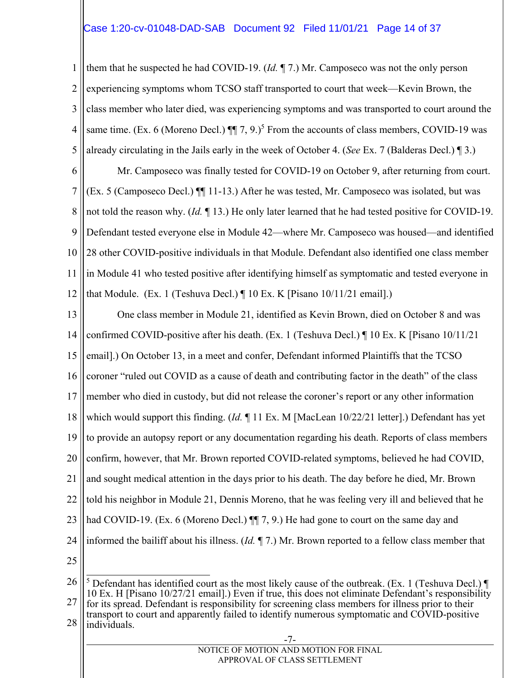#### Case 1:20-cv-01048-DAD-SAB Document 92 Filed 11/01/21 Page 14 of 37

1 2 3 4 5 them that he suspected he had COVID-19. (*Id.* ¶ 7.) Mr. Camposeco was not the only person experiencing symptoms whom TCSO staff transported to court that week—Kevin Brown, the class member who later died, was experiencing symptoms and was transported to court around the same time. (Ex. 6 (Moreno Decl.)  $\P\P$  7, 9.)<sup>5</sup> From the accounts of class members, COVID-19 was already circulating in the Jails early in the week of October 4. (*See* Ex. 7 (Balderas Decl.) ¶ 3.)

6 7 8 9 10 11 12 Mr. Camposeco was finally tested for COVID-19 on October 9, after returning from court. (Ex. 5 (Camposeco Decl.) ¶¶ 11-13.) After he was tested, Mr. Camposeco was isolated, but was not told the reason why. (*Id.* ¶ 13.) He only later learned that he had tested positive for COVID-19. Defendant tested everyone else in Module 42—where Mr. Camposeco was housed—and identified 28 other COVID-positive individuals in that Module. Defendant also identified one class member in Module 41 who tested positive after identifying himself as symptomatic and tested everyone in that Module. (Ex. 1 (Teshuva Decl.) ¶ 10 Ex. K [Pisano 10/11/21 email].)

13 14 15 16 17 18 19 20 21 22 23 24 25 26 One class member in Module 21, identified as Kevin Brown, died on October 8 and was confirmed COVID-positive after his death. (Ex. 1 (Teshuva Decl.)  $\P$  10 Ex. K [Pisano 10/11/21 email].) On October 13, in a meet and confer, Defendant informed Plaintiffs that the TCSO coroner "ruled out COVID as a cause of death and contributing factor in the death" of the class member who died in custody, but did not release the coroner's report or any other information which would support this finding. (*Id.* ¶ 11 Ex. M [MacLean 10/22/21 letter].) Defendant has yet to provide an autopsy report or any documentation regarding his death. Reports of class members confirm, however, that Mr. Brown reported COVID-related symptoms, believed he had COVID, and sought medical attention in the days prior to his death. The day before he died, Mr. Brown told his neighbor in Module 21, Dennis Moreno, that he was feeling very ill and believed that he had COVID-19. (Ex. 6 (Moreno Decl.)  $\P$ , 9.) He had gone to court on the same day and informed the bailiff about his illness. (*Id.* ¶ 7.) Mr. Brown reported to a fellow class member that  $\overline{a}$ 

28 individuals.

<sup>27</sup> <sup>5</sup> Defendant has identified court as the most likely cause of the outbreak. (Ex. 1 (Teshuva Decl.)  $\P$ 10 Ex. H [Pisano 10/27/21 email].) Even if true, this does not eliminate Defendant's responsibility for its spread. Defendant is responsibility for screening class members for illness prior to their transport to court and apparently failed to identify numerous symptomatic and COVID-positive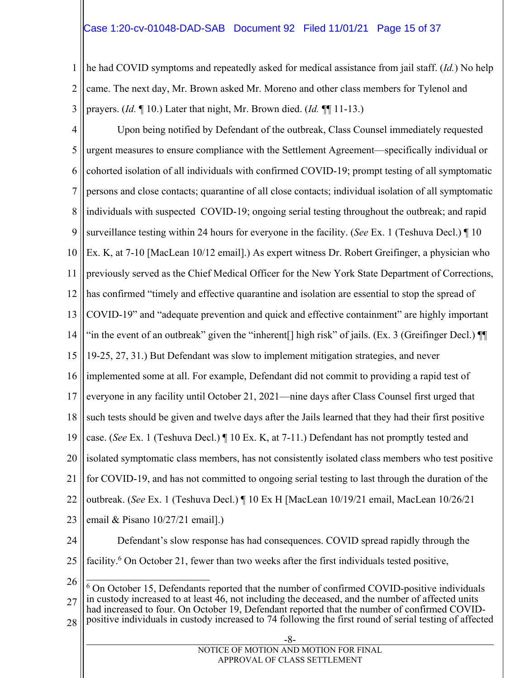#### Case 1:20-cv-01048-DAD-SAB Document 92 Filed 11/01/21 Page 15 of 37

1 2 3 he had COVID symptoms and repeatedly asked for medical assistance from jail staff. (*Id.*) No help came. The next day, Mr. Brown asked Mr. Moreno and other class members for Tylenol and prayers. (*Id.* ¶ 10.) Later that night, Mr. Brown died. (*Id.* ¶¶ 11-13.)

4 5 6 7 8 9 10 11 12 13 14 15 16 17 18 19 20 21 22 23 24 25 26 27 Upon being notified by Defendant of the outbreak, Class Counsel immediately requested urgent measures to ensure compliance with the Settlement Agreement—specifically individual or cohorted isolation of all individuals with confirmed COVID-19; prompt testing of all symptomatic persons and close contacts; quarantine of all close contacts; individual isolation of all symptomatic individuals with suspected COVID-19; ongoing serial testing throughout the outbreak; and rapid surveillance testing within 24 hours for everyone in the facility. (*See* Ex. 1 (Teshuva Decl.) ¶ 10 Ex. K, at 7-10 [MacLean 10/12 email].) As expert witness Dr. Robert Greifinger, a physician who previously served as the Chief Medical Officer for the New York State Department of Corrections, has confirmed "timely and effective quarantine and isolation are essential to stop the spread of COVID-19" and "adequate prevention and quick and effective containment" are highly important "in the event of an outbreak" given the "inherent[] high risk" of jails. (Ex. 3 (Greifinger Decl.) ¶¶ 19-25, 27, 31.) But Defendant was slow to implement mitigation strategies, and never implemented some at all. For example, Defendant did not commit to providing a rapid test of everyone in any facility until October 21, 2021—nine days after Class Counsel first urged that such tests should be given and twelve days after the Jails learned that they had their first positive case. (*See* Ex. 1 (Teshuva Decl.) ¶ 10 Ex. K, at 7-11.) Defendant has not promptly tested and isolated symptomatic class members, has not consistently isolated class members who test positive for COVID-19, and has not committed to ongoing serial testing to last through the duration of the outbreak. (*See* Ex. 1 (Teshuva Decl.) ¶ 10 Ex H [MacLean 10/19/21 email, MacLean 10/26/21 email & Pisano 10/27/21 email].) Defendant's slow response has had consequences. COVID spread rapidly through the facility.<sup>6</sup> On October 21, fewer than two weeks after the first individuals tested positive,  $\overline{a}$  $6$  On October 15, Defendants reported that the number of confirmed COVID-positive individuals in custody increased to at least 46, not including the deceased, and the number of affected units had increased to four. On October 19, Defendant reported that the number of confirmed COVID-

28 positive individuals in custody increased to 74 following the first round of serial testing of affected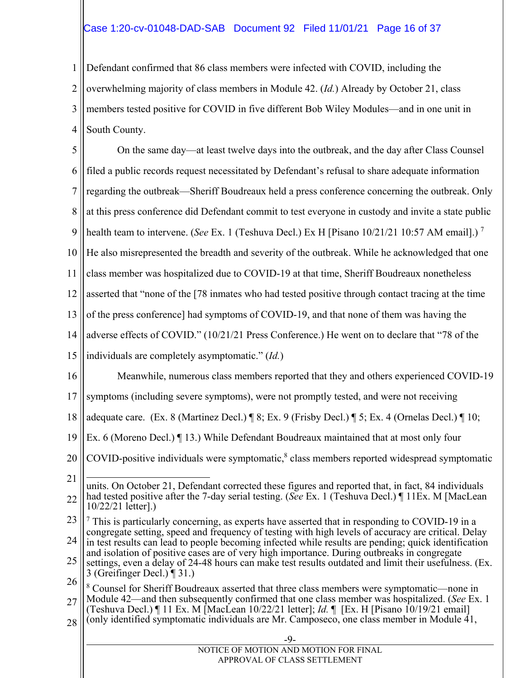#### Case 1:20-cv-01048-DAD-SAB Document 92 Filed 11/01/21 Page 16 of 37

1 2 3 4 Defendant confirmed that 86 class members were infected with COVID, including the overwhelming majority of class members in Module 42. (*Id.*) Already by October 21, class members tested positive for COVID in five different Bob Wiley Modules—and in one unit in South County.

5 6 7 8 9 10 11 12 13 14 15 16 17 18 19 20 21 22 23 24 25 26 27 28 -9- NOTICE OF MOTION AND MOTION FOR FINAL APPROVAL OF CLASS SETTLEMENT On the same day—at least twelve days into the outbreak, and the day after Class Counsel filed a public records request necessitated by Defendant's refusal to share adequate information regarding the outbreak—Sheriff Boudreaux held a press conference concerning the outbreak. Only at this press conference did Defendant commit to test everyone in custody and invite a state public health team to intervene. (*See* Ex. 1 (Teshuva Decl.) Ex H [Pisano 10/21/21 10:57 AM email].) 7 He also misrepresented the breadth and severity of the outbreak. While he acknowledged that one class member was hospitalized due to COVID-19 at that time, Sheriff Boudreaux nonetheless asserted that "none of the [78 inmates who had tested positive through contact tracing at the time of the press conference] had symptoms of COVID-19, and that none of them was having the adverse effects of COVID." (10/21/21 Press Conference.) He went on to declare that "78 of the individuals are completely asymptomatic." (*Id.*) Meanwhile, numerous class members reported that they and others experienced COVID-19 symptoms (including severe symptoms), were not promptly tested, and were not receiving adequate care. (Ex. 8 (Martinez Decl.) ¶ 8; Ex. 9 (Frisby Decl.) ¶ 5; Ex. 4 (Ornelas Decl.) ¶ 10; Ex. 6 (Moreno Decl.) ¶ 13.) While Defendant Boudreaux maintained that at most only four COVID-positive individuals were symptomatic,<sup>8</sup> class members reported widespread symptomatic  $\overline{a}$ units. On October 21, Defendant corrected these figures and reported that, in fact, 84 individuals had tested positive after the 7-day serial testing. (*See* Ex. 1 (Teshuva Decl.) ¶ 11Ex. M [MacLean 10/22/21 letter].)  $7$  This is particularly concerning, as experts have asserted that in responding to COVID-19 in a congregate setting, speed and frequency of testing with high levels of accuracy are critical. Delay in test results can lead to people becoming infected while results are pending; quick identification and isolation of positive cases are of very high importance. During outbreaks in congregate settings, even a delay of 24-48 hours can make test results outdated and limit their usefulness. (Ex. 3 (Greifinger Decl.) ¶ 31.) <sup>8</sup> Counsel for Sheriff Boudreaux asserted that three class members were symptomatic—none in Module 42—and then subsequently confirmed that one class member was hospitalized. (*See* Ex. 1 (Teshuva Decl.) ¶ 11 Ex. M [MacLean 10/22/21 letter]; *Id.* ¶ [Ex. H [Pisano 10/19/21 email] (only identified symptomatic individuals are Mr. Camposeco, one class member in Module 41,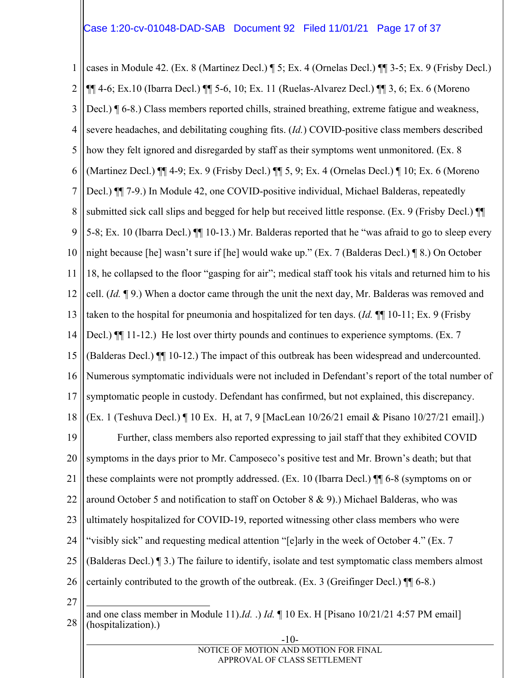1 2 3 4 5 6 7 8 9 10 11 12 13 14 15 16 17 18 19 20 21 22 23 24 25 26 cases in Module 42. (Ex. 8 (Martinez Decl.) ¶ 5; Ex. 4 (Ornelas Decl.) ¶¶ 3-5; Ex. 9 (Frisby Decl.) ¶¶ 4-6; Ex.10 (Ibarra Decl.) ¶¶ 5-6, 10; Ex. 11 (Ruelas-Alvarez Decl.) ¶¶ 3, 6; Ex. 6 (Moreno Decl.) ¶ 6-8.) Class members reported chills, strained breathing, extreme fatigue and weakness, severe headaches, and debilitating coughing fits. (*Id.*) COVID-positive class members described how they felt ignored and disregarded by staff as their symptoms went unmonitored. (Ex. 8 (Martinez Decl.) ¶¶ 4-9; Ex. 9 (Frisby Decl.) ¶¶ 5, 9; Ex. 4 (Ornelas Decl.) ¶ 10; Ex. 6 (Moreno Decl.)  $\P$  7-9.) In Module 42, one COVID-positive individual, Michael Balderas, repeatedly submitted sick call slips and begged for help but received little response. (Ex. 9 (Frisby Decl.) ¶¶ 5-8; Ex. 10 (Ibarra Decl.) ¶¶ 10-13.) Mr. Balderas reported that he "was afraid to go to sleep every night because [he] wasn't sure if [he] would wake up." (Ex. 7 (Balderas Decl.) ¶ 8.) On October 18, he collapsed to the floor "gasping for air"; medical staff took his vitals and returned him to his cell. (*Id.* ¶ 9.) When a doctor came through the unit the next day, Mr. Balderas was removed and taken to the hospital for pneumonia and hospitalized for ten days. (*Id.* ¶¶ 10-11; Ex. 9 (Frisby Decl.)  $\P$ [[ 11-12.) He lost over thirty pounds and continues to experience symptoms. (Ex. 7) (Balderas Decl.) ¶¶ 10-12.) The impact of this outbreak has been widespread and undercounted. Numerous symptomatic individuals were not included in Defendant's report of the total number of symptomatic people in custody. Defendant has confirmed, but not explained, this discrepancy. (Ex. 1 (Teshuva Decl.) ¶ 10 Ex. H, at 7, 9 [MacLean 10/26/21 email & Pisano 10/27/21 email].) Further, class members also reported expressing to jail staff that they exhibited COVID symptoms in the days prior to Mr. Camposeco's positive test and Mr. Brown's death; but that these complaints were not promptly addressed. (Ex. 10 (Ibarra Decl.) ¶¶ 6-8 (symptoms on or around October 5 and notification to staff on October 8 & 9).) Michael Balderas, who was ultimately hospitalized for COVID-19, reported witnessing other class members who were "visibly sick" and requesting medical attention "[e]arly in the week of October 4." (Ex. 7 (Balderas Decl.) ¶ 3.) The failure to identify, isolate and test symptomatic class members almost certainly contributed to the growth of the outbreak. (Ex. 3 (Greifinger Decl.) ¶¶ 6-8.)

27  $\overline{a}$ 

| and one class member in Module 11). <i>Id.</i> .) <i>Id.</i> $\parallel$ 10 Ex. H [Pisano 10/21/21 4:57 PM email] (hospitalization).) |
|---------------------------------------------------------------------------------------------------------------------------------------|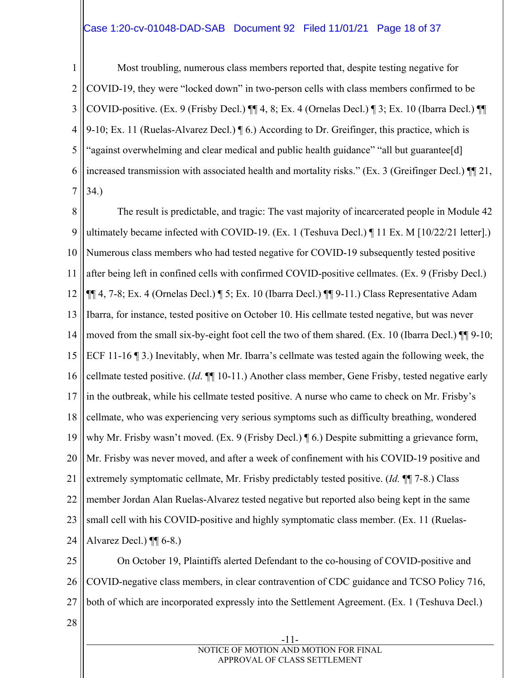#### Case 1:20-cv-01048-DAD-SAB Document 92 Filed 11/01/21 Page 18 of 37

1 2 3 4 5 6 7 Most troubling, numerous class members reported that, despite testing negative for COVID-19, they were "locked down" in two-person cells with class members confirmed to be COVID-positive. (Ex. 9 (Frisby Decl.) ¶¶ 4, 8; Ex. 4 (Ornelas Decl.) ¶ 3; Ex. 10 (Ibarra Decl.) ¶¶ 9-10; Ex. 11 (Ruelas-Alvarez Decl.) ¶ 6.) According to Dr. Greifinger, this practice, which is "against overwhelming and clear medical and public health guidance" "all but guarantee[d] increased transmission with associated health and mortality risks." (Ex. 3 (Greifinger Decl.) ¶¶ 21, 34.)

8 9 10 11 12 13 14 15 16 17 18 19 20 21 22 23 24 The result is predictable, and tragic: The vast majority of incarcerated people in Module 42 ultimately became infected with COVID-19. (Ex. 1 (Teshuva Decl.) ¶ 11 Ex. M [10/22/21 letter].) Numerous class members who had tested negative for COVID-19 subsequently tested positive after being left in confined cells with confirmed COVID-positive cellmates. (Ex. 9 (Frisby Decl.) ¶¶ 4, 7-8; Ex. 4 (Ornelas Decl.) ¶ 5; Ex. 10 (Ibarra Decl.) ¶¶ 9-11.) Class Representative Adam Ibarra, for instance, tested positive on October 10. His cellmate tested negative, but was never moved from the small six-by-eight foot cell the two of them shared. (Ex. 10 (Ibarra Decl.) ¶¶ 9-10; ECF 11-16 ¶ 3.) Inevitably, when Mr. Ibarra's cellmate was tested again the following week, the cellmate tested positive. (*Id*. ¶¶ 10-11.) Another class member, Gene Frisby, tested negative early in the outbreak, while his cellmate tested positive. A nurse who came to check on Mr. Frisby's cellmate, who was experiencing very serious symptoms such as difficulty breathing, wondered why Mr. Frisby wasn't moved. (Ex. 9 (Frisby Decl.) ¶ 6.) Despite submitting a grievance form, Mr. Frisby was never moved, and after a week of confinement with his COVID-19 positive and extremely symptomatic cellmate, Mr. Frisby predictably tested positive. (*Id.* ¶¶ 7-8.) Class member Jordan Alan Ruelas-Alvarez tested negative but reported also being kept in the same small cell with his COVID-positive and highly symptomatic class member. (Ex. 11 (Ruelas-Alvarez Decl.)  $\P$ [ 6-8.)

25 26 27 On October 19, Plaintiffs alerted Defendant to the co-housing of COVID-positive and COVID-negative class members, in clear contravention of CDC guidance and TCSO Policy 716, both of which are incorporated expressly into the Settlement Agreement. (Ex. 1 (Teshuva Decl.)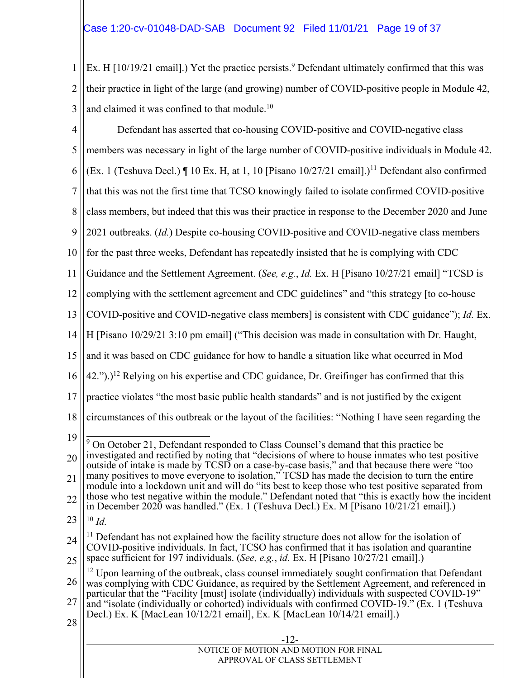1 2 3 Ex. H  $[10/19/21$  email].) Yet the practice persists.<sup>9</sup> Defendant ultimately confirmed that this was their practice in light of the large (and growing) number of COVID-positive people in Module 42, and claimed it was confined to that module.<sup>10</sup>

4 5 6 7 8 9 10 11 12 13 14 15 16 17 18 19 20 21 22 23 24 25 26 27 28 Defendant has asserted that co-housing COVID-positive and COVID-negative class members was necessary in light of the large number of COVID-positive individuals in Module 42. (Ex. 1 (Teshuva Decl.)  $\P$  10 Ex. H, at 1, 10 [Pisano 10/27/21 email].)<sup>11</sup> Defendant also confirmed that this was not the first time that TCSO knowingly failed to isolate confirmed COVID-positive class members, but indeed that this was their practice in response to the December 2020 and June 2021 outbreaks. (*Id.*) Despite co-housing COVID-positive and COVID-negative class members for the past three weeks, Defendant has repeatedly insisted that he is complying with CDC Guidance and the Settlement Agreement. (*See, e.g.*, *Id.* Ex. H [Pisano 10/27/21 email] "TCSD is complying with the settlement agreement and CDC guidelines" and "this strategy [to co-house COVID-positive and COVID-negative class members] is consistent with CDC guidance"); *Id.* Ex. H [Pisano 10/29/21 3:10 pm email] ("This decision was made in consultation with Dr. Haught, and it was based on CDC guidance for how to handle a situation like what occurred in Mod  $(42.")$ .)<sup>12</sup> Relying on his expertise and CDC guidance, Dr. Greifinger has confirmed that this practice violates "the most basic public health standards" and is not justified by the exigent circumstances of this outbreak or the layout of the facilities: "Nothing I have seen regarding the  $\overline{a}$ <sup>9</sup> On October 21, Defendant responded to Class Counsel's demand that this practice be investigated and rectified by noting that "decisions of where to house inmates who test positive outside of intake is made by TCSD on a case-by-case basis," and that because there were "too many positives to move everyone to isolation," TCSD has made the decision to turn the entire module into a lockdown unit and will do "its best to keep those who test positive separated from those who test negative within the module." Defendant noted that "this is exactly how the incident in December 2020 was handled." (Ex. 1 (Teshuva Decl.) Ex. M [Pisano 10/21/21 email].) <sup>10</sup> *Id.*  $11$  Defendant has not explained how the facility structure does not allow for the isolation of COVID-positive individuals. In fact, TCSO has confirmed that it has isolation and quarantine space sufficient for 197 individuals. (*See, e.g.*, *id.* Ex. H [Pisano 10/27/21 email].)  $12$  Upon learning of the outbreak, class counsel immediately sought confirmation that Defendant was complying with CDC Guidance, as required by the Settlement Agreement, and referenced in particular that the "Facility [must] isolate (individually) individuals with suspected COVID-19" and "isolate (individually or cohorted) individuals with confirmed COVID-19." (Ex. 1 (Teshuva Decl.) Ex. K [MacLean 10/12/21 email], Ex. K [MacLean 10/14/21 email].)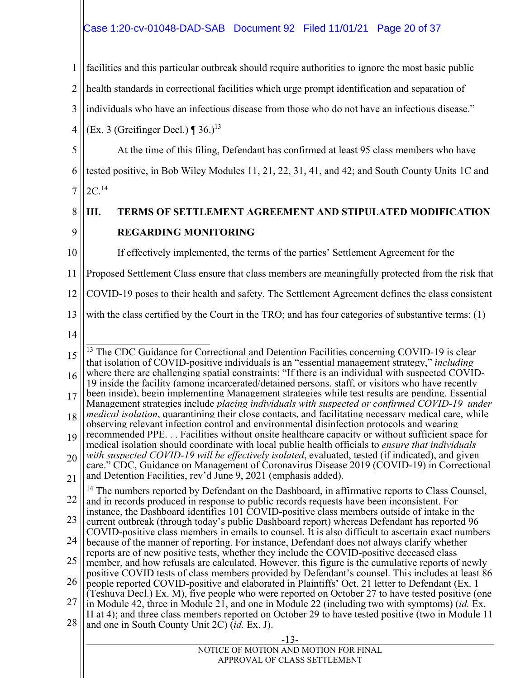#### Case 1:20-cv-01048-DAD-SAB Document 92 Filed 11/01/21 Page 20 of 37

1 facilities and this particular outbreak should require authorities to ignore the most basic public

2 health standards in correctional facilities which urge prompt identification and separation of

3 individuals who have an infectious disease from those who do not have an infectious disease."

4 (Ex. 3 (Greifinger Decl.)  $\P$  36.)<sup>13</sup>

5 6 At the time of this filing, Defendant has confirmed at least 95 class members who have tested positive, in Bob Wiley Modules 11, 21, 22, 31, 41, and 42; and South County Units 1C and

7 2C.14

#### 8 9 **III. TERMS OF SETTLEMENT AGREEMENT AND STIPULATED MODIFICATION REGARDING MONITORING**

10

If effectively implemented, the terms of the parties' Settlement Agreement for the

11 Proposed Settlement Class ensure that class members are meaningfully protected from the risk that

12 COVID-19 poses to their health and safety. The Settlement Agreement defines the class consistent

13 with the class certified by the Court in the TRO; and has four categories of substantive terms: (1)

and one in South County Unit 2C) (*id.* Ex. J).

| $-13-$                                |
|---------------------------------------|
| NOTICE OF MOTION AND MOTION FOR FINAL |
| APPROVAL OF CLASS SETTLEMENT          |

<sup>15</sup> 16 17 18 19 20 21  $\overline{a}$  $13$  The CDC Guidance for Correctional and Detention Facilities concerning COVID-19 is clear that isolation of COVID-positive individuals is an "essential management strategy," *including*  where there are challenging spatial constraints: "If there is an individual with suspected COVID-19 inside the facility (among incarcerated/detained persons, staff, or visitors who have recently been inside), begin implementing Management strategies while test results are pending. Essential Management strategies include *placing individuals with suspected or confirmed COVID-19 under medical isolation*, quarantining their close contacts, and facilitating necessary medical care, while observing relevant infection control and environmental disinfection protocols and wearing recommended PPE. . . Facilities without onsite healthcare capacity or without sufficient space for medical isolation should coordinate with local public health officials to *ensure that individuals with suspected COVID-19 will be effectively isolated*, evaluated, tested (if indicated), and given care." CDC, Guidance on Management of Coronavirus Disease 2019 (COVID-19) in Correctional and Detention Facilities, rev'd June 9, 2021 (emphasis added). <sup>14</sup> The numbers reported by Defendant on the Dashboard, in affirmative reports to Class Counsel,

<sup>22</sup> 23 and in records produced in response to public records requests have been inconsistent. For instance, the Dashboard identifies 101 COVID-positive class members outside of intake in the current outbreak (through today's public Dashboard report) whereas Defendant has reported 96

<sup>24</sup> COVID-positive class members in emails to counsel. It is also difficult to ascertain exact numbers because of the manner of reporting. For instance, Defendant does not always clarify whether

<sup>25</sup> reports are of new positive tests, whether they include the COVID-positive deceased class member, and how refusals are calculated. However, this figure is the cumulative reports of newly

<sup>26</sup> positive COVID tests of class members provided by Defendant's counsel. This includes at least 86 people reported COVID-positive and elaborated in Plaintiffs' Oct. 21 letter to Defendant (Ex. 1

<sup>27</sup> 28 (Teshuva Decl.) Ex. M), five people who were reported on October 27 to have tested positive (one in Module 42, three in Module 21, and one in Module 22 (including two with symptoms) (*id.* Ex. H at 4); and three class members reported on October 29 to have tested positive (two in Module 11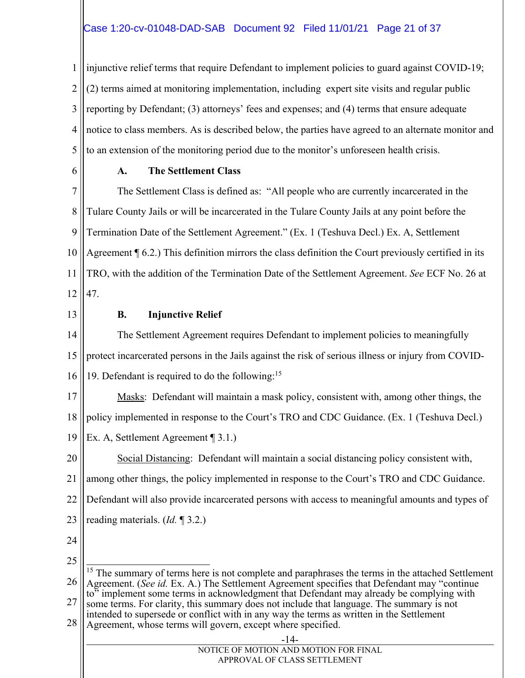#### Case 1:20-cv-01048-DAD-SAB Document 92 Filed 11/01/21 Page 21 of 37

1 2 3 4 5 injunctive relief terms that require Defendant to implement policies to guard against COVID-19; (2) terms aimed at monitoring implementation, including expert site visits and regular public reporting by Defendant; (3) attorneys' fees and expenses; and (4) terms that ensure adequate notice to class members. As is described below, the parties have agreed to an alternate monitor and to an extension of the monitoring period due to the monitor's unforeseen health crisis.

6

#### **A. The Settlement Class**

7 8 9 10 11 12 The Settlement Class is defined as: "All people who are currently incarcerated in the Tulare County Jails or will be incarcerated in the Tulare County Jails at any point before the Termination Date of the Settlement Agreement." (Ex. 1 (Teshuva Decl.) Ex. A, Settlement Agreement ¶ 6.2.) This definition mirrors the class definition the Court previously certified in its TRO, with the addition of the Termination Date of the Settlement Agreement. *See* ECF No. 26 at 47.

13

#### **B. Injunctive Relief**

14 15 16 The Settlement Agreement requires Defendant to implement policies to meaningfully protect incarcerated persons in the Jails against the risk of serious illness or injury from COVID-19. Defendant is required to do the following:15

17 18 19 Masks: Defendant will maintain a mask policy, consistent with, among other things, the policy implemented in response to the Court's TRO and CDC Guidance. (Ex. 1 (Teshuva Decl.) Ex. A, Settlement Agreement ¶ 3.1.)

20 21 22 23 Social Distancing: Defendant will maintain a social distancing policy consistent with, among other things, the policy implemented in response to the Court's TRO and CDC Guidance. Defendant will also provide incarcerated persons with access to meaningful amounts and types of reading materials. (*Id.* ¶ 3.2.)

- 24
- 25

 $\overline{a}$ 

26 27 <sup>15</sup> The summary of terms here is not complete and paraphrases the terms in the attached Settlement Agreement. (*See id.* Ex. A.) The Settlement Agreement specifies that Defendant may "continue to" implement some terms in acknowledgment that Defendant may already be complying with some terms. For clarity, this summary does not include that language. The summary is not intended to supersede or conflict with in any way the terms as written in the Settlement

28 Agreement, whose terms will govern, except where specified.

| $-14-$                                |  |
|---------------------------------------|--|
| NOTICE OF MOTION AND MOTION FOR FINAL |  |
| APPROVAL OF CLASS SETTLEMENT          |  |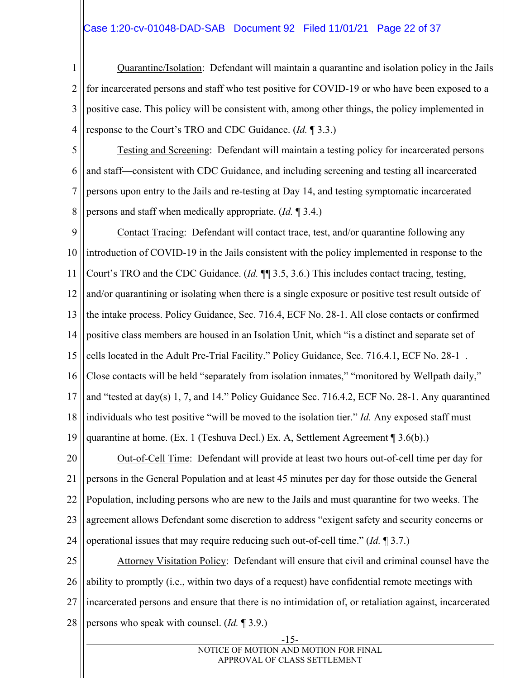#### Case 1:20-cv-01048-DAD-SAB Document 92 Filed 11/01/21 Page 22 of 37

1 2 3 4 Quarantine/Isolation: Defendant will maintain a quarantine and isolation policy in the Jails for incarcerated persons and staff who test positive for COVID-19 or who have been exposed to a positive case. This policy will be consistent with, among other things, the policy implemented in response to the Court's TRO and CDC Guidance. (*Id.* ¶ 3.3.)

5 6 7 8 Testing and Screening: Defendant will maintain a testing policy for incarcerated persons and staff—consistent with CDC Guidance, and including screening and testing all incarcerated persons upon entry to the Jails and re-testing at Day 14, and testing symptomatic incarcerated persons and staff when medically appropriate. (*Id.* ¶ 3.4.)

9 10 11 12 13 14 15 16 17 18 19 Contact Tracing: Defendant will contact trace, test, and/or quarantine following any introduction of COVID-19 in the Jails consistent with the policy implemented in response to the Court's TRO and the CDC Guidance. (*Id.* ¶¶ 3.5, 3.6.) This includes contact tracing, testing, and/or quarantining or isolating when there is a single exposure or positive test result outside of the intake process. Policy Guidance, Sec. 716.4, ECF No. 28-1. All close contacts or confirmed positive class members are housed in an Isolation Unit, which "is a distinct and separate set of cells located in the Adult Pre-Trial Facility." Policy Guidance, Sec. 716.4.1, ECF No. 28-1 . Close contacts will be held "separately from isolation inmates," "monitored by Wellpath daily," and "tested at day(s) 1, 7, and 14." Policy Guidance Sec. 716.4.2, ECF No. 28-1. Any quarantined individuals who test positive "will be moved to the isolation tier." *Id.* Any exposed staff must quarantine at home. (Ex. 1 (Teshuva Decl.) Ex. A, Settlement Agreement ¶ 3.6(b).)

20 21 22 23 24 Out-of-Cell Time: Defendant will provide at least two hours out-of-cell time per day for persons in the General Population and at least 45 minutes per day for those outside the General Population, including persons who are new to the Jails and must quarantine for two weeks. The agreement allows Defendant some discretion to address "exigent safety and security concerns or operational issues that may require reducing such out-of-cell time." (*Id.* ¶ 3.7.)

25 26 27 28 Attorney Visitation Policy: Defendant will ensure that civil and criminal counsel have the ability to promptly (i.e., within two days of a request) have confidential remote meetings with incarcerated persons and ensure that there is no intimidation of, or retaliation against, incarcerated persons who speak with counsel. (*Id.* ¶ 3.9.)

-15-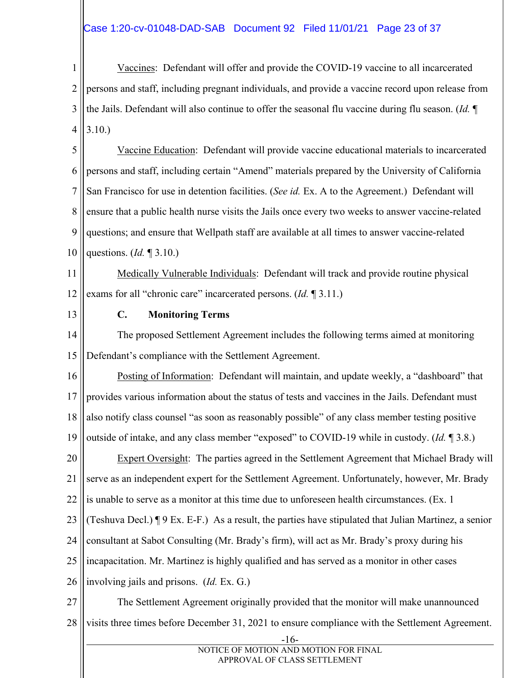#### Case 1:20-cv-01048-DAD-SAB Document 92 Filed 11/01/21 Page 23 of 37

1 2 3 4 Vaccines: Defendant will offer and provide the COVID-19 vaccine to all incarcerated persons and staff, including pregnant individuals, and provide a vaccine record upon release from the Jails. Defendant will also continue to offer the seasonal flu vaccine during flu season. (*Id.* ¶ 3.10.)

5 6 7 8 9 10 Vaccine Education: Defendant will provide vaccine educational materials to incarcerated persons and staff, including certain "Amend" materials prepared by the University of California San Francisco for use in detention facilities. (*See id.* Ex. A to the Agreement.) Defendant will ensure that a public health nurse visits the Jails once every two weeks to answer vaccine-related questions; and ensure that Wellpath staff are available at all times to answer vaccine-related questions. (*Id.* ¶ 3.10.)

11 12 Medically Vulnerable Individuals: Defendant will track and provide routine physical exams for all "chronic care" incarcerated persons. (*Id.* ¶ 3.11.)

13

#### **C. Monitoring Terms**

14 15 The proposed Settlement Agreement includes the following terms aimed at monitoring Defendant's compliance with the Settlement Agreement.

16 17 18 19 Posting of Information: Defendant will maintain, and update weekly, a "dashboard" that provides various information about the status of tests and vaccines in the Jails. Defendant must also notify class counsel "as soon as reasonably possible" of any class member testing positive outside of intake, and any class member "exposed" to COVID-19 while in custody. (*Id.* ¶ 3.8.)

20 21 22 Expert Oversight: The parties agreed in the Settlement Agreement that Michael Brady will serve as an independent expert for the Settlement Agreement. Unfortunately, however, Mr. Brady is unable to serve as a monitor at this time due to unforeseen health circumstances. (Ex. 1

23 (Teshuva Decl.) ¶ 9 Ex. E-F.) As a result, the parties have stipulated that Julian Martinez, a senior

24 consultant at Sabot Consulting (Mr. Brady's firm), will act as Mr. Brady's proxy during his

25 incapacitation. Mr. Martinez is highly qualified and has served as a monitor in other cases

26 involving jails and prisons. (*Id.* Ex. G.)

27 28 The Settlement Agreement originally provided that the monitor will make unannounced visits three times before December 31, 2021 to ensure compliance with the Settlement Agreement.

 <sup>-16-</sup>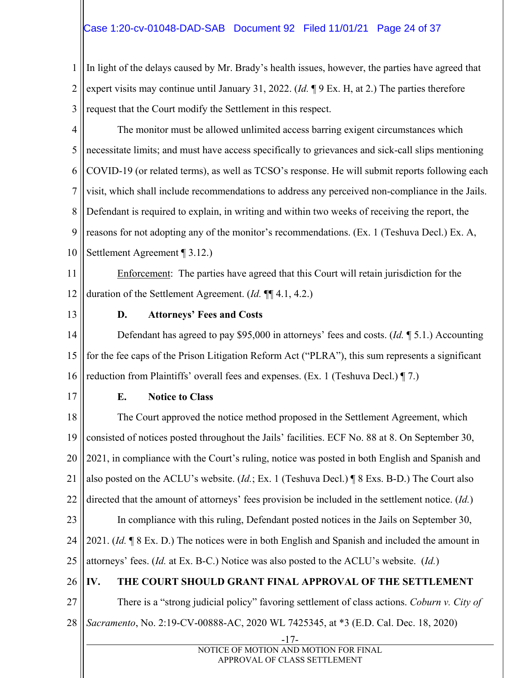#### Case 1:20-cv-01048-DAD-SAB Document 92 Filed 11/01/21 Page 24 of 37

1 2 3 In light of the delays caused by Mr. Brady's health issues, however, the parties have agreed that expert visits may continue until January 31, 2022. (*Id.* ¶ 9 Ex. H, at 2.) The parties therefore request that the Court modify the Settlement in this respect.

4 5 6 7 8 9 10 The monitor must be allowed unlimited access barring exigent circumstances which necessitate limits; and must have access specifically to grievances and sick-call slips mentioning COVID-19 (or related terms), as well as TCSO's response. He will submit reports following each visit, which shall include recommendations to address any perceived non-compliance in the Jails. Defendant is required to explain, in writing and within two weeks of receiving the report, the reasons for not adopting any of the monitor's recommendations. (Ex. 1 (Teshuva Decl.) Ex. A, Settlement Agreement ¶ 3.12.)

11 12 Enforcement: The parties have agreed that this Court will retain jurisdiction for the duration of the Settlement Agreement. (*Id.* ¶¶ 4.1, 4.2.)

13

#### **D. Attorneys' Fees and Costs**

14 15 16 Defendant has agreed to pay \$95,000 in attorneys' fees and costs. (*Id.* ¶ 5.1.) Accounting for the fee caps of the Prison Litigation Reform Act ("PLRA"), this sum represents a significant reduction from Plaintiffs' overall fees and expenses. (Ex. 1 (Teshuva Decl.) ¶ 7.)

17

#### **E. Notice to Class**

18 19 20 21 22 23 24 25 26 27 28 -17- NOTICE OF MOTION AND MOTION FOR FINAL The Court approved the notice method proposed in the Settlement Agreement, which consisted of notices posted throughout the Jails' facilities. ECF No. 88 at 8. On September 30, 2021, in compliance with the Court's ruling, notice was posted in both English and Spanish and also posted on the ACLU's website. (*Id.*; Ex. 1 (Teshuva Decl.) ¶ 8 Exs. B-D.) The Court also directed that the amount of attorneys' fees provision be included in the settlement notice. (*Id.*) In compliance with this ruling, Defendant posted notices in the Jails on September 30, 2021. (*Id.* ¶ 8 Ex. D.) The notices were in both English and Spanish and included the amount in attorneys' fees. (*Id.* at Ex. B-C.) Notice was also posted to the ACLU's website. (*Id.*) **IV. THE COURT SHOULD GRANT FINAL APPROVAL OF THE SETTLEMENT**  There is a "strong judicial policy" favoring settlement of class actions. *Coburn v. City of Sacramento*, No. 2:19-CV-00888-AC, 2020 WL 7425345, at \*3 (E.D. Cal. Dec. 18, 2020)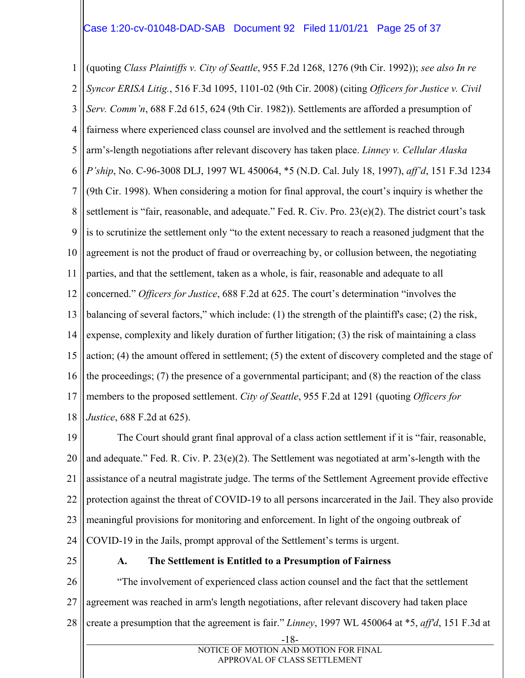#### Case 1:20-cv-01048-DAD-SAB Document 92 Filed 11/01/21 Page 25 of 37

1 2 3 4 5 6 7 8 9 10 11 12 13 14 15 16 17 18 (quoting *Class Plaintiffs v. City of Seattle*, 955 F.2d 1268, 1276 (9th Cir. 1992)); *see also In re Syncor ERISA Litig.*, 516 F.3d 1095, 1101-02 (9th Cir. 2008) (citing *Officers for Justice v. Civil Serv. Comm'n*, 688 F.2d 615, 624 (9th Cir. 1982)). Settlements are afforded a presumption of fairness where experienced class counsel are involved and the settlement is reached through arm's-length negotiations after relevant discovery has taken place. *Linney v. Cellular Alaska P'ship*, No. C-96-3008 DLJ, 1997 WL 450064, \*5 (N.D. Cal. July 18, 1997), *aff'd*, 151 F.3d 1234 (9th Cir. 1998). When considering a motion for final approval, the court's inquiry is whether the settlement is "fair, reasonable, and adequate." Fed. R. Civ. Pro. 23(e)(2). The district court's task is to scrutinize the settlement only "to the extent necessary to reach a reasoned judgment that the agreement is not the product of fraud or overreaching by, or collusion between, the negotiating parties, and that the settlement, taken as a whole, is fair, reasonable and adequate to all concerned." *Officers for Justice*, 688 F.2d at 625. The court's determination "involves the balancing of several factors," which include:  $(1)$  the strength of the plaintiff's case;  $(2)$  the risk, expense, complexity and likely duration of further litigation; (3) the risk of maintaining a class action; (4) the amount offered in settlement; (5) the extent of discovery completed and the stage of the proceedings; (7) the presence of a governmental participant; and (8) the reaction of the class members to the proposed settlement. *City of Seattle*, 955 F.2d at 1291 (quoting *Officers for Justice*, 688 F.2d at 625).

19 20 21 22 23 24 The Court should grant final approval of a class action settlement if it is "fair, reasonable, and adequate." Fed. R. Civ. P.  $23(e)(2)$ . The Settlement was negotiated at arm's-length with the assistance of a neutral magistrate judge. The terms of the Settlement Agreement provide effective protection against the threat of COVID-19 to all persons incarcerated in the Jail. They also provide meaningful provisions for monitoring and enforcement. In light of the ongoing outbreak of COVID-19 in the Jails, prompt approval of the Settlement's terms is urgent.

25

#### **A. The Settlement is Entitled to a Presumption of Fairness**

26 27 28 "The involvement of experienced class action counsel and the fact that the settlement agreement was reached in arm's length negotiations, after relevant discovery had taken place create a presumption that the agreement is fair." *Linney*, 1997 WL 450064 at \*5, *aff'd*, 151 F.3d at

 <sup>-18-</sup>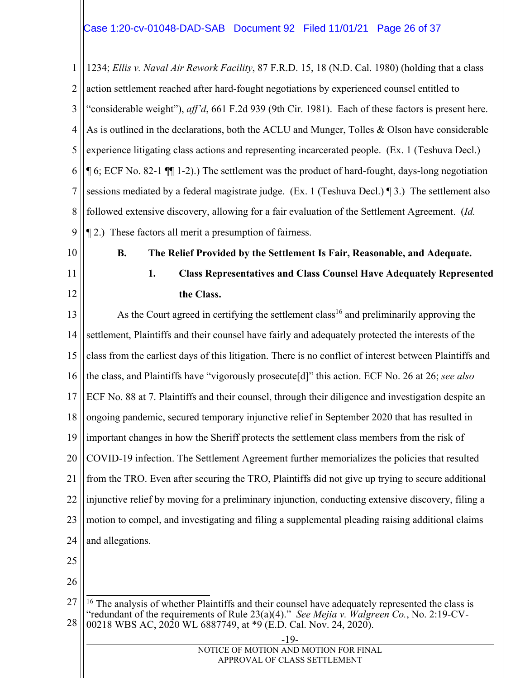1 2 3 4 5 6 7 8 9 1234; *Ellis v. Naval Air Rework Facility*, 87 F.R.D. 15, 18 (N.D. Cal. 1980) (holding that a class action settlement reached after hard-fought negotiations by experienced counsel entitled to "considerable weight"), *aff'd*, 661 F.2d 939 (9th Cir. 1981). Each of these factors is present here. As is outlined in the declarations, both the ACLU and Munger, Tolles & Olson have considerable experience litigating class actions and representing incarcerated people. (Ex. 1 (Teshuva Decl.) ¶ 6; ECF No. 82-1 ¶¶ 1-2).) The settlement was the product of hard-fought, days-long negotiation sessions mediated by a federal magistrate judge. (Ex. 1 (Teshuva Decl.) ¶ 3.) The settlement also followed extensive discovery, allowing for a fair evaluation of the Settlement Agreement. (*Id.* ¶ 2.) These factors all merit a presumption of fairness.

- 10
- 11

12

### **B. The Relief Provided by the Settlement Is Fair, Reasonable, and Adequate.**

**1. Class Representatives and Class Counsel Have Adequately Represented the Class.** 

13 14 15 16 17 18 19 20 21 22 23 24 As the Court agreed in certifying the settlement class<sup>16</sup> and preliminarily approving the settlement, Plaintiffs and their counsel have fairly and adequately protected the interests of the class from the earliest days of this litigation. There is no conflict of interest between Plaintiffs and the class, and Plaintiffs have "vigorously prosecute[d]" this action. ECF No. 26 at 26; *see also* ECF No. 88 at 7. Plaintiffs and their counsel, through their diligence and investigation despite an ongoing pandemic, secured temporary injunctive relief in September 2020 that has resulted in important changes in how the Sheriff protects the settlement class members from the risk of COVID-19 infection. The Settlement Agreement further memorializes the policies that resulted from the TRO. Even after securing the TRO, Plaintiffs did not give up trying to secure additional injunctive relief by moving for a preliminary injunction, conducting extensive discovery, filing a motion to compel, and investigating and filing a supplemental pleading raising additional claims and allegations.

25

<sup>27</sup> 28  $\overline{a}$  $16$  The analysis of whether Plaintiffs and their counsel have adequately represented the class is "redundant of the requirements of Rule 23(a)(4)." *See Mejia v. Walgreen Co.*, No. 2:19-CV-00218 WBS AC, 2020 WL 6887749, at \*9 (E.D. Cal. Nov. 24, 2020).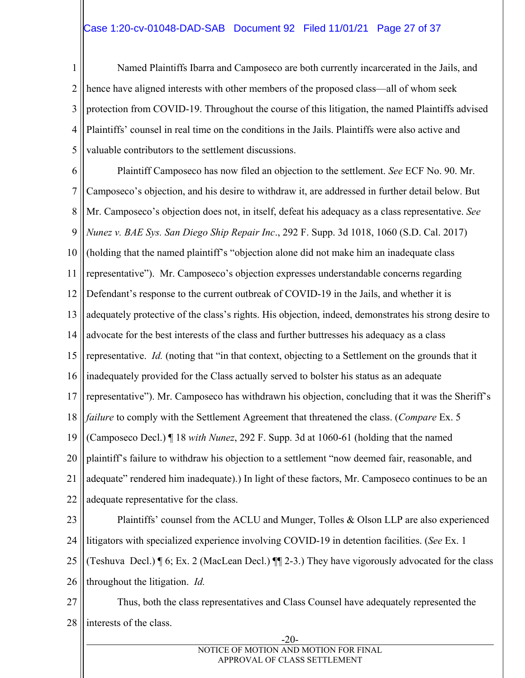#### Case 1:20-cv-01048-DAD-SAB Document 92 Filed 11/01/21 Page 27 of 37

1 2 3 4 5 Named Plaintiffs Ibarra and Camposeco are both currently incarcerated in the Jails, and hence have aligned interests with other members of the proposed class—all of whom seek protection from COVID-19. Throughout the course of this litigation, the named Plaintiffs advised Plaintiffs' counsel in real time on the conditions in the Jails. Plaintiffs were also active and valuable contributors to the settlement discussions.

6 7 8 9 10 11 12 13 14 15 16 17 18 19 20 21 22 Plaintiff Camposeco has now filed an objection to the settlement. *See* ECF No. 90. Mr. Camposeco's objection, and his desire to withdraw it, are addressed in further detail below. But Mr. Camposeco's objection does not, in itself, defeat his adequacy as a class representative. *See Nunez v. BAE Sys. San Diego Ship Repair Inc*., 292 F. Supp. 3d 1018, 1060 (S.D. Cal. 2017) (holding that the named plaintiff's "objection alone did not make him an inadequate class representative"). Mr. Camposeco's objection expresses understandable concerns regarding Defendant's response to the current outbreak of COVID-19 in the Jails, and whether it is adequately protective of the class's rights. His objection, indeed, demonstrates his strong desire to advocate for the best interests of the class and further buttresses his adequacy as a class representative. *Id.* (noting that "in that context, objecting to a Settlement on the grounds that it inadequately provided for the Class actually served to bolster his status as an adequate representative"). Mr. Camposeco has withdrawn his objection, concluding that it was the Sheriff's *failure* to comply with the Settlement Agreement that threatened the class. (*Compare* Ex. 5 (Camposeco Decl.) ¶ 18 *with Nunez*, 292 F. Supp. 3d at 1060-61 (holding that the named plaintiff's failure to withdraw his objection to a settlement "now deemed fair, reasonable, and adequate" rendered him inadequate).) In light of these factors, Mr. Camposeco continues to be an adequate representative for the class.

23 24 25 26 Plaintiffs' counsel from the ACLU and Munger, Tolles & Olson LLP are also experienced litigators with specialized experience involving COVID-19 in detention facilities. (*See* Ex. 1 (Teshuva Decl.) ¶ 6; Ex. 2 (MacLean Decl.) ¶¶ 2-3.) They have vigorously advocated for the class throughout the litigation. *Id.*

27 28 Thus, both the class representatives and Class Counsel have adequately represented the interests of the class.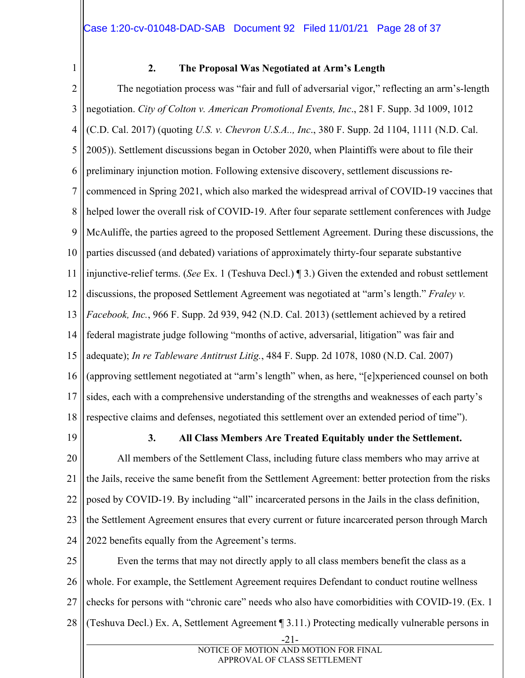1

#### **2. The Proposal Was Negotiated at Arm's Length**

2 3 4 5 6 7 8 9 10 11 12 13 14 15 16 17 18 The negotiation process was "fair and full of adversarial vigor," reflecting an arm's-length negotiation. *City of Colton v. American Promotional Events, Inc*., 281 F. Supp. 3d 1009, 1012 (C.D. Cal. 2017) (quoting *U.S. v. Chevron U.S.A.., Inc*., 380 F. Supp. 2d 1104, 1111 (N.D. Cal. 2005)). Settlement discussions began in October 2020, when Plaintiffs were about to file their preliminary injunction motion. Following extensive discovery, settlement discussions recommenced in Spring 2021, which also marked the widespread arrival of COVID-19 vaccines that helped lower the overall risk of COVID-19. After four separate settlement conferences with Judge McAuliffe, the parties agreed to the proposed Settlement Agreement. During these discussions, the parties discussed (and debated) variations of approximately thirty-four separate substantive injunctive-relief terms. (*See* Ex. 1 (Teshuva Decl.) ¶ 3.) Given the extended and robust settlement discussions, the proposed Settlement Agreement was negotiated at "arm's length." *Fraley v. Facebook, Inc.*, 966 F. Supp. 2d 939, 942 (N.D. Cal. 2013) (settlement achieved by a retired federal magistrate judge following "months of active, adversarial, litigation" was fair and adequate); *In re Tableware Antitrust Litig.*, 484 F. Supp. 2d 1078, 1080 (N.D. Cal. 2007) (approving settlement negotiated at "arm's length" when, as here, "[e]xperienced counsel on both sides, each with a comprehensive understanding of the strengths and weaknesses of each party's respective claims and defenses, negotiated this settlement over an extended period of time").

19

#### **3. All Class Members Are Treated Equitably under the Settlement.**

20 21 22 23 24 All members of the Settlement Class, including future class members who may arrive at the Jails, receive the same benefit from the Settlement Agreement: better protection from the risks posed by COVID-19. By including "all" incarcerated persons in the Jails in the class definition, the Settlement Agreement ensures that every current or future incarcerated person through March 2022 benefits equally from the Agreement's terms.

25 26 27 28 Even the terms that may not directly apply to all class members benefit the class as a whole. For example, the Settlement Agreement requires Defendant to conduct routine wellness checks for persons with "chronic care" needs who also have comorbidities with COVID-19. (Ex. 1 (Teshuva Decl.) Ex. A, Settlement Agreement ¶ 3.11.) Protecting medically vulnerable persons in

 <sup>-21-</sup>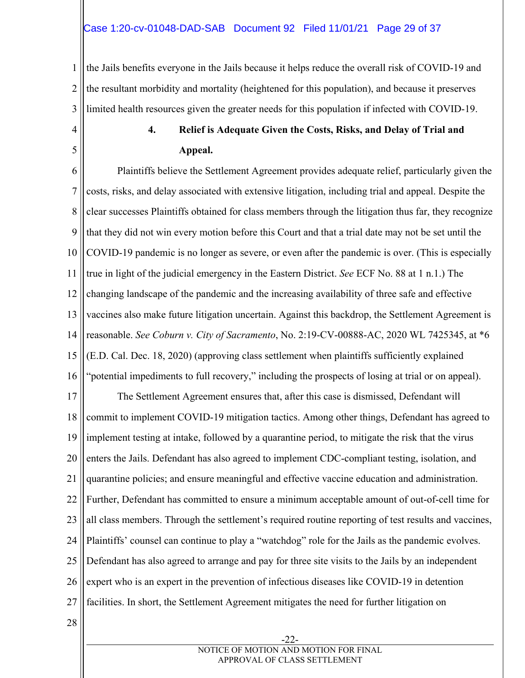#### Case 1:20-cv-01048-DAD-SAB Document 92 Filed 11/01/21 Page 29 of 37

1 2 3 the Jails benefits everyone in the Jails because it helps reduce the overall risk of COVID-19 and the resultant morbidity and mortality (heightened for this population), and because it preserves limited health resources given the greater needs for this population if infected with COVID-19.

4 5

28

### **4. Relief is Adequate Given the Costs, Risks, and Delay of Trial and Appeal.**

6 7 8 9 10 11 12 13 14 15 16 17 18 19 20 21 22 23 24 25 26 27 Plaintiffs believe the Settlement Agreement provides adequate relief, particularly given the costs, risks, and delay associated with extensive litigation, including trial and appeal. Despite the clear successes Plaintiffs obtained for class members through the litigation thus far, they recognize that they did not win every motion before this Court and that a trial date may not be set until the COVID-19 pandemic is no longer as severe, or even after the pandemic is over. (This is especially true in light of the judicial emergency in the Eastern District. *See* ECF No. 88 at 1 n.1.) The changing landscape of the pandemic and the increasing availability of three safe and effective vaccines also make future litigation uncertain. Against this backdrop, the Settlement Agreement is reasonable. *See Coburn v. City of Sacramento*, No. 2:19-CV-00888-AC, 2020 WL 7425345, at \*6 (E.D. Cal. Dec. 18, 2020) (approving class settlement when plaintiffs sufficiently explained "potential impediments to full recovery," including the prospects of losing at trial or on appeal). The Settlement Agreement ensures that, after this case is dismissed, Defendant will commit to implement COVID-19 mitigation tactics. Among other things, Defendant has agreed to implement testing at intake, followed by a quarantine period, to mitigate the risk that the virus enters the Jails. Defendant has also agreed to implement CDC-compliant testing, isolation, and quarantine policies; and ensure meaningful and effective vaccine education and administration. Further, Defendant has committed to ensure a minimum acceptable amount of out-of-cell time for all class members. Through the settlement's required routine reporting of test results and vaccines, Plaintiffs' counsel can continue to play a "watchdog" role for the Jails as the pandemic evolves. Defendant has also agreed to arrange and pay for three site visits to the Jails by an independent expert who is an expert in the prevention of infectious diseases like COVID-19 in detention facilities. In short, the Settlement Agreement mitigates the need for further litigation on

 -22- NOTICE OF MOTION AND MOTION FOR FINAL APPROVAL OF CLASS SETTLEMENT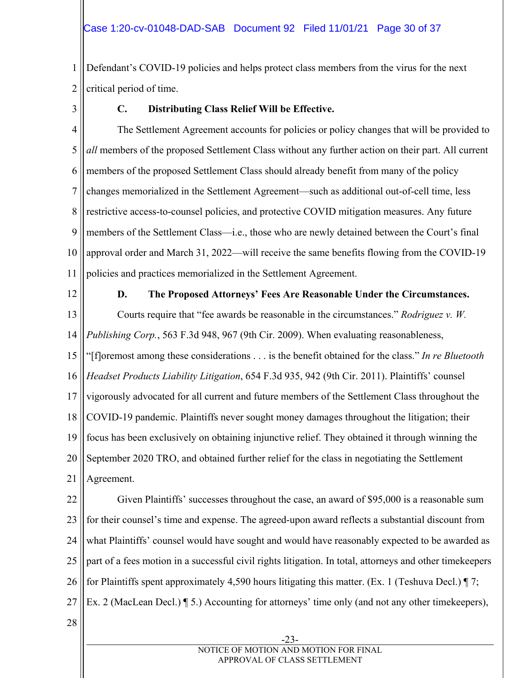1 2 Defendant's COVID-19 policies and helps protect class members from the virus for the next critical period of time.

3

#### **C. Distributing Class Relief Will be Effective.**

4 5 6 7 8 9 10 11 The Settlement Agreement accounts for policies or policy changes that will be provided to *all* members of the proposed Settlement Class without any further action on their part. All current members of the proposed Settlement Class should already benefit from many of the policy changes memorialized in the Settlement Agreement—such as additional out-of-cell time, less restrictive access-to-counsel policies, and protective COVID mitigation measures. Any future members of the Settlement Class—i.e., those who are newly detained between the Court's final approval order and March 31, 2022—will receive the same benefits flowing from the COVID-19 policies and practices memorialized in the Settlement Agreement.

12

#### **D. The Proposed Attorneys' Fees Are Reasonable Under the Circumstances.**

13 14 15 16 17 18 19 20 21 Courts require that "fee awards be reasonable in the circumstances." *Rodriguez v. W. Publishing Corp.*, 563 F.3d 948, 967 (9th Cir. 2009). When evaluating reasonableness, "[f]oremost among these considerations . . . is the benefit obtained for the class." *In re Bluetooth Headset Products Liability Litigation*, 654 F.3d 935, 942 (9th Cir. 2011). Plaintiffs' counsel vigorously advocated for all current and future members of the Settlement Class throughout the COVID-19 pandemic. Plaintiffs never sought money damages throughout the litigation; their focus has been exclusively on obtaining injunctive relief. They obtained it through winning the September 2020 TRO, and obtained further relief for the class in negotiating the Settlement Agreement.

22 23 24 25 26 27 Given Plaintiffs' successes throughout the case, an award of \$95,000 is a reasonable sum for their counsel's time and expense. The agreed-upon award reflects a substantial discount from what Plaintiffs' counsel would have sought and would have reasonably expected to be awarded as part of a fees motion in a successful civil rights litigation. In total, attorneys and other timekeepers for Plaintiffs spent approximately 4,590 hours litigating this matter. (Ex. 1 (Teshuva Decl.)  $\P$ 7; Ex. 2 (MacLean Decl.) ¶ 5.) Accounting for attorneys' time only (and not any other timekeepers),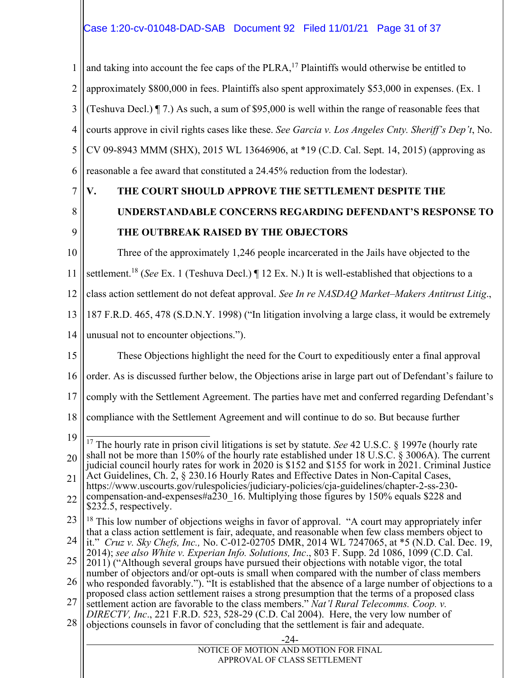1 2 3 4 5 6 and taking into account the fee caps of the PLRA,<sup>17</sup> Plaintiffs would otherwise be entitled to approximately \$800,000 in fees. Plaintiffs also spent approximately \$53,000 in expenses. (Ex. 1 (Teshuva Decl.) ¶ 7.) As such, a sum of \$95,000 is well within the range of reasonable fees that courts approve in civil rights cases like these. *See Garcia v. Los Angeles Cnty. Sheriff's Dep't*, No. CV 09-8943 MMM (SHX), 2015 WL 13646906, at \*19 (C.D. Cal. Sept. 14, 2015) (approving as reasonable a fee award that constituted a 24.45% reduction from the lodestar).

7 8

9

10

#### **V. THE COURT SHOULD APPROVE THE SETTLEMENT DESPITE THE**

### **UNDERSTANDABLE CONCERNS REGARDING DEFENDANT'S RESPONSE TO THE OUTBREAK RAISED BY THE OBJECTORS**

Three of the approximately 1,246 people incarcerated in the Jails have objected to the

11 settlement.18 (*See* Ex. 1 (Teshuva Decl.) ¶ 12 Ex. N.) It is well-established that objections to a

12 class action settlement do not defeat approval. *See In re NASDAQ Market–Makers Antitrust Litig*.,

13 187 F.R.D. 465, 478 (S.D.N.Y. 1998) ("In litigation involving a large class, it would be extremely

14 unusual not to encounter objections.").

15 These Objections highlight the need for the Court to expeditiously enter a final approval

16 order. As is discussed further below, the Objections arise in large part out of Defendant's failure to

17 comply with the Settlement Agreement. The parties have met and conferred regarding Defendant's

18 compliance with the Settlement Agreement and will continue to do so. But because further

<sup>28</sup> objections counsels in favor of concluding that the settlement is fair and adequate.

| $-24-$                                |  |
|---------------------------------------|--|
| NOTICE OF MOTION AND MOTION FOR FINAL |  |
| APPROVAL OF CLASS SETTLEMENT          |  |

<sup>19</sup> 20 21 22  $\overline{a}$ 17 The hourly rate in prison civil litigations is set by statute. *See* 42 U.S.C. § 1997e (hourly rate shall not be more than 150% of the hourly rate established under 18 U.S.C. § 3006A). The current judicial council hourly rates for work in 2020 is \$152 and \$155 for work in 2021. Criminal Justice Act Guidelines, Ch. 2, § 230.16 Hourly Rates and Effective Dates in Non-Capital Cases, https://www.uscourts.gov/rulespolicies/judiciary-policies/cja-guidelines/chapter-2-ss-230 compensation-and-expenses#a230\_16. Multiplying those figures by 150% equals \$228 and \$232.5, respectively.

<sup>23</sup> 24  $18$  This low number of objections weighs in favor of approval. "A court may appropriately infer that a class action settlement is fair, adequate, and reasonable when few class members object to

<sup>25</sup> it." *Cruz v. Sky Chefs, Inc.,* No. C-012-02705 DMR, 2014 WL 7247065, at \*5 (N.D. Cal. Dec. 19, 2014); *see also White v. Experian Info. Solutions, Inc*., 803 F. Supp. 2d 1086, 1099 (C.D. Cal.

<sup>2011) (&</sup>quot;Although several groups have pursued their objections with notable vigor, the total number of objectors and/or opt-outs is small when compared with the number of class members

<sup>26</sup> who responded favorably."). "It is established that the absence of a large number of objections to a proposed class action settlement raises a strong presumption that the terms of a proposed class

<sup>27</sup> settlement action are favorable to the class members." *Nat'l Rural Telecomms. Coop. v. DIRECTV, Inc*., 221 F.R.D. 523, 528-29 (C.D. Cal 2004). Here, the very low number of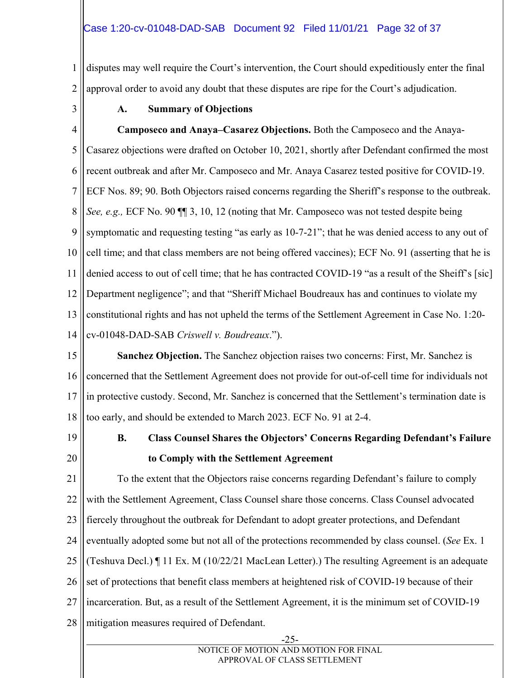1 2 disputes may well require the Court's intervention, the Court should expeditiously enter the final approval order to avoid any doubt that these disputes are ripe for the Court's adjudication.

3

### **A. Summary of Objections**

4 5 6 7 8 9 10 11 12 13 14 **Camposeco and Anaya–Casarez Objections.** Both the Camposeco and the Anaya-Casarez objections were drafted on October 10, 2021, shortly after Defendant confirmed the most recent outbreak and after Mr. Camposeco and Mr. Anaya Casarez tested positive for COVID-19. ECF Nos. 89; 90. Both Objectors raised concerns regarding the Sheriff's response to the outbreak. *See, e.g.,* ECF No. 90 ¶¶ 3, 10, 12 (noting that Mr. Camposeco was not tested despite being symptomatic and requesting testing "as early as  $10-7-21$ "; that he was denied access to any out of cell time; and that class members are not being offered vaccines); ECF No. 91 (asserting that he is denied access to out of cell time; that he has contracted COVID-19 "as a result of the Sheiff's [sic] Department negligence"; and that "Sheriff Michael Boudreaux has and continues to violate my constitutional rights and has not upheld the terms of the Settlement Agreement in Case No. 1:20 cv-01048-DAD-SAB *Criswell v. Boudreaux*.").

15 16 17 18 **Sanchez Objection.** The Sanchez objection raises two concerns: First, Mr. Sanchez is concerned that the Settlement Agreement does not provide for out-of-cell time for individuals not in protective custody. Second, Mr. Sanchez is concerned that the Settlement's termination date is too early, and should be extended to March 2023. ECF No. 91 at 2-4.

19

20

### **B. Class Counsel Shares the Objectors' Concerns Regarding Defendant's Failure to Comply with the Settlement Agreement**

21 22 23 24 25 26 27 28 To the extent that the Objectors raise concerns regarding Defendant's failure to comply with the Settlement Agreement, Class Counsel share those concerns. Class Counsel advocated fiercely throughout the outbreak for Defendant to adopt greater protections, and Defendant eventually adopted some but not all of the protections recommended by class counsel. (*See* Ex. 1 (Teshuva Decl.) ¶ 11 Ex. M (10/22/21 MacLean Letter).) The resulting Agreement is an adequate set of protections that benefit class members at heightened risk of COVID-19 because of their incarceration. But, as a result of the Settlement Agreement, it is the minimum set of COVID-19 mitigation measures required of Defendant.

-25-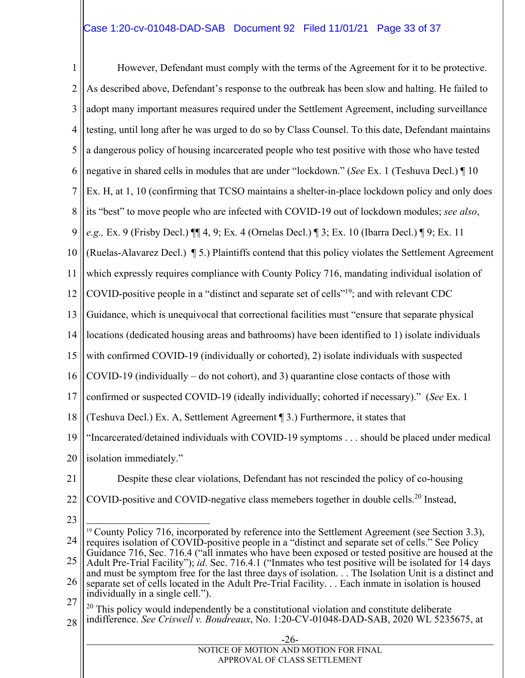#### Case 1:20-cv-01048-DAD-SAB Document 92 Filed 11/01/21 Page 33 of 37

1 2 3 4 5 6 7 8 9 10 11 12 13 14 15 16 17 18 19 20 21 22 23 24 25 26 27 28 -26- NOTICE OF MOTION AND MOTION FOR FINAL APPROVAL OF CLASS SETTLEMENT However, Defendant must comply with the terms of the Agreement for it to be protective. As described above, Defendant's response to the outbreak has been slow and halting. He failed to adopt many important measures required under the Settlement Agreement, including surveillance testing, until long after he was urged to do so by Class Counsel. To this date, Defendant maintains a dangerous policy of housing incarcerated people who test positive with those who have tested negative in shared cells in modules that are under "lockdown." (*See* Ex. 1 (Teshuva Decl.) ¶ 10 Ex. H, at 1, 10 (confirming that TCSO maintains a shelter-in-place lockdown policy and only does its "best" to move people who are infected with COVID-19 out of lockdown modules; *see also*, *e.g.,* Ex. 9 (Frisby Decl.) ¶¶ 4, 9; Ex. 4 (Ornelas Decl.) ¶ 3; Ex. 10 (Ibarra Decl.) ¶ 9; Ex. 11 (Ruelas-Alavarez Decl.) ¶ 5.) Plaintiffs contend that this policy violates the Settlement Agreement which expressly requires compliance with County Policy 716, mandating individual isolation of COVID-positive people in a "distinct and separate set of cells"<sup>19</sup>; and with relevant CDC Guidance, which is unequivocal that correctional facilities must "ensure that separate physical locations (dedicated housing areas and bathrooms) have been identified to 1) isolate individuals with confirmed COVID-19 (individually or cohorted), 2) isolate individuals with suspected COVID-19 (individually – do not cohort), and 3) quarantine close contacts of those with confirmed or suspected COVID-19 (ideally individually; cohorted if necessary)." (*See* Ex. 1 (Teshuva Decl.) Ex. A, Settlement Agreement ¶ 3.) Furthermore, it states that "Incarcerated/detained individuals with COVID-19 symptoms . . . should be placed under medical isolation immediately." Despite these clear violations, Defendant has not rescinded the policy of co-housing COVID-positive and COVID-negative class memebers together in double cells.<sup>20</sup> Instead,  $\overline{a}$ <sup>19</sup> County Policy 716, incorporated by reference into the Settlement Agreement (see Section 3.3), requires isolation of COVID-positive people in a "distinct and separate set of cells." See Policy Guidance 716, Sec. 716.4 ("all inmates who have been exposed or tested positive are housed at the Adult Pre-Trial Facility"); *id*. Sec. 716.4.1 ("Inmates who test positive will be isolated for 14 days and must be symptom free for the last three days of isolation. . . The Isolation Unit is a distinct and separate set of cells located in the Adult Pre-Trial Facility. . . Each inmate in isolation is housed individually in a single cell.").  $20$  This policy would independently be a constitutional violation and constitute deliberate indifference. *See Criswell v. Boudreaux*, No. 1:20-CV-01048-DAD-SAB, 2020 WL 5235675, at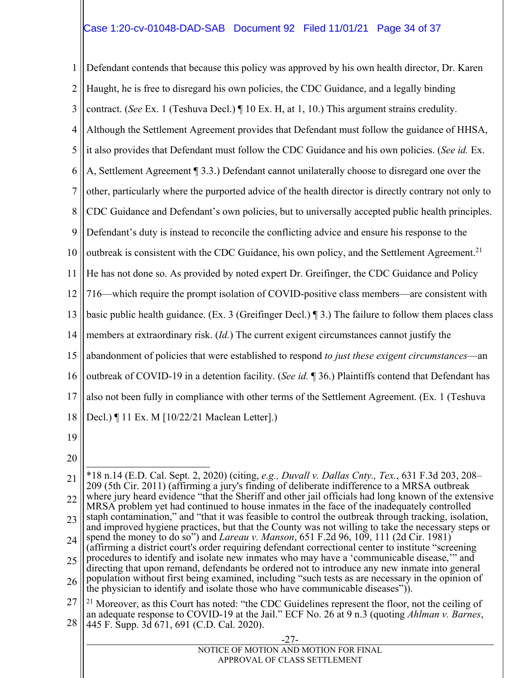#### Case 1:20-cv-01048-DAD-SAB Document 92 Filed 11/01/21 Page 34 of 37

1 2 3 4 5 6 7 8 9 10 11 12 13 14 15 16 17 18 19 20 21 22 23 24 25 26 27 28 Defendant contends that because this policy was approved by his own health director, Dr. Karen Haught, he is free to disregard his own policies, the CDC Guidance, and a legally binding contract. (*See* Ex. 1 (Teshuva Decl.) ¶ 10 Ex. H, at 1, 10.) This argument strains credulity. Although the Settlement Agreement provides that Defendant must follow the guidance of HHSA, it also provides that Defendant must follow the CDC Guidance and his own policies. (*See id.* Ex. A, Settlement Agreement ¶ 3.3.) Defendant cannot unilaterally choose to disregard one over the other, particularly where the purported advice of the health director is directly contrary not only to CDC Guidance and Defendant's own policies, but to universally accepted public health principles. Defendant's duty is instead to reconcile the conflicting advice and ensure his response to the outbreak is consistent with the CDC Guidance, his own policy, and the Settlement Agreement.<sup>21</sup> He has not done so. As provided by noted expert Dr. Greifinger, the CDC Guidance and Policy 716—which require the prompt isolation of COVID-positive class members—are consistent with basic public health guidance. (Ex. 3 (Greifinger Decl.) ¶ 3.) The failure to follow them places class members at extraordinary risk. (*Id.*) The current exigent circumstances cannot justify the abandonment of policies that were established to respond *to just these exigent circumstances*—an outbreak of COVID-19 in a detention facility. (*See id.* ¶ 36.) Plaintiffs contend that Defendant has also not been fully in compliance with other terms of the Settlement Agreement. (Ex. 1 (Teshuva Decl.) ¶ 11 Ex. M [10/22/21 Maclean Letter].)  $\overline{a}$ \*18 n.14 (E.D. Cal. Sept. 2, 2020) (citing, *e.g., Duvall v. Dallas Cnty., Tex.*, 631 F.3d 203, 208– 209 (5th Cir. 2011) (affirming a jury's finding of deliberate indifference to a MRSA outbreak where jury heard evidence "that the Sheriff and other jail officials had long known of the extensive MRSA problem yet had continued to house inmates in the face of the inadequately controlled staph contamination," and "that it was feasible to control the outbreak through tracking, isolation, and improved hygiene practices, but that the County was not willing to take the necessary steps or spend the money to do so") and *Lareau v. Manson*, 651 F.2d 96, 109, 111 (2d Cir. 1981) (affirming a district court's order requiring defendant correctional center to institute "screening procedures to identify and isolate new inmates who may have a 'communicable disease,'" and directing that upon remand, defendants be ordered not to introduce any new inmate into general population without first being examined, including "such tests as are necessary in the opinion of the physician to identify and isolate those who have communicable diseases")). <sup>21</sup> Moreover, as this Court has noted: "the CDC Guidelines represent the floor, not the ceiling of an adequate response to COVID-19 at the Jail." ECF No. 26 at 9 n.3 (quoting *Ahlman v. Barnes*, 445 F. Supp. 3d 671, 691 (C.D. Cal. 2020).

| $-27-$                                |  |
|---------------------------------------|--|
| NOTICE OF MOTION AND MOTION FOR FINAL |  |
| APPROVAL OF CLASS SETTLEMENT          |  |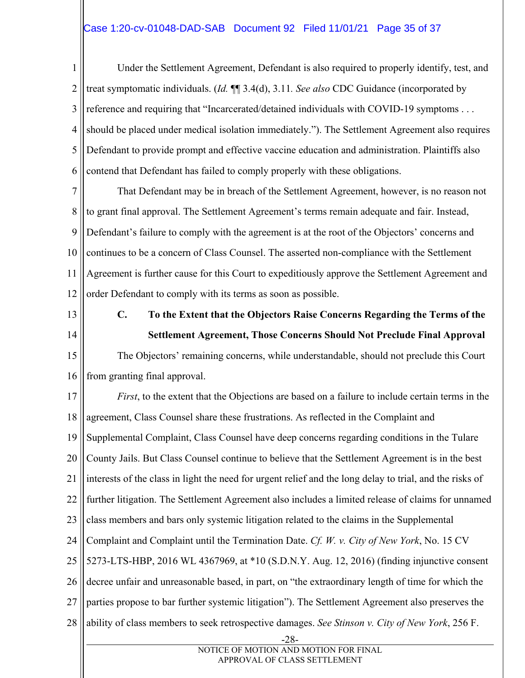1 2 3 4 5 6 Under the Settlement Agreement, Defendant is also required to properly identify, test, and treat symptomatic individuals. (*Id.* ¶¶ 3.4(d), 3.11*. See also* CDC Guidance (incorporated by reference and requiring that "Incarcerated/detained individuals with COVID-19 symptoms . . . should be placed under medical isolation immediately."). The Settlement Agreement also requires Defendant to provide prompt and effective vaccine education and administration. Plaintiffs also contend that Defendant has failed to comply properly with these obligations.

7 8 9 10 11 12 That Defendant may be in breach of the Settlement Agreement, however, is no reason not to grant final approval. The Settlement Agreement's terms remain adequate and fair. Instead, Defendant's failure to comply with the agreement is at the root of the Objectors' concerns and continues to be a concern of Class Counsel. The asserted non-compliance with the Settlement Agreement is further cause for this Court to expeditiously approve the Settlement Agreement and order Defendant to comply with its terms as soon as possible.

- 13
- 14

**C. To the Extent that the Objectors Raise Concerns Regarding the Terms of the Settlement Agreement, Those Concerns Should Not Preclude Final Approval** 

15 16 The Objectors' remaining concerns, while understandable, should not preclude this Court from granting final approval.

17 18 19 20 21 22 23 24 25 26 27 28 -28- *First*, to the extent that the Objections are based on a failure to include certain terms in the agreement, Class Counsel share these frustrations. As reflected in the Complaint and Supplemental Complaint, Class Counsel have deep concerns regarding conditions in the Tulare County Jails. But Class Counsel continue to believe that the Settlement Agreement is in the best interests of the class in light the need for urgent relief and the long delay to trial, and the risks of further litigation. The Settlement Agreement also includes a limited release of claims for unnamed class members and bars only systemic litigation related to the claims in the Supplemental Complaint and Complaint until the Termination Date. *Cf. W. v. City of New York*, No. 15 CV 5273-LTS-HBP, 2016 WL 4367969, at \*10 (S.D.N.Y. Aug. 12, 2016) (finding injunctive consent decree unfair and unreasonable based, in part, on "the extraordinary length of time for which the parties propose to bar further systemic litigation"). The Settlement Agreement also preserves the ability of class members to seek retrospective damages. *See Stinson v. City of New York*, 256 F.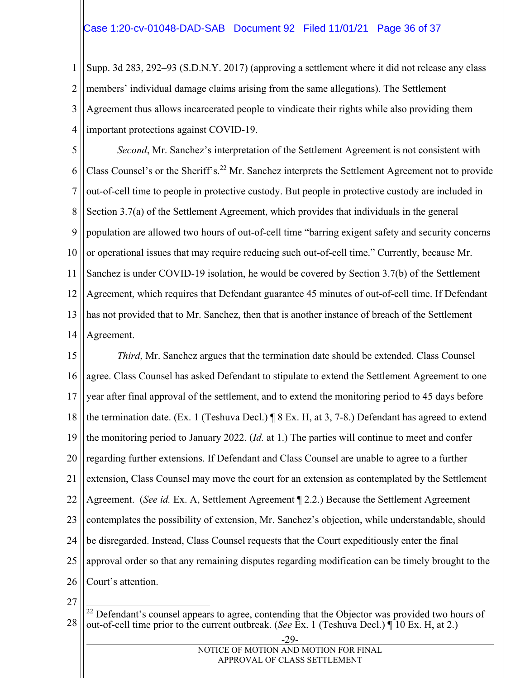1 2 3 4 Supp. 3d 283, 292–93 (S.D.N.Y. 2017) (approving a settlement where it did not release any class members' individual damage claims arising from the same allegations). The Settlement Agreement thus allows incarcerated people to vindicate their rights while also providing them important protections against COVID-19.

5 6 7 8 9 10 11 12 13 14 *Second*, Mr. Sanchez's interpretation of the Settlement Agreement is not consistent with Class Counsel's or the Sheriff's.<sup>22</sup> Mr. Sanchez interprets the Settlement Agreement not to provide out-of-cell time to people in protective custody. But people in protective custody are included in Section 3.7(a) of the Settlement Agreement, which provides that individuals in the general population are allowed two hours of out-of-cell time "barring exigent safety and security concerns or operational issues that may require reducing such out-of-cell time." Currently, because Mr. Sanchez is under COVID-19 isolation, he would be covered by Section 3.7(b) of the Settlement Agreement, which requires that Defendant guarantee 45 minutes of out-of-cell time. If Defendant has not provided that to Mr. Sanchez, then that is another instance of breach of the Settlement Agreement.

15 16 17 18 19 20 21 22 23 24 25 26 *Third*, Mr. Sanchez argues that the termination date should be extended. Class Counsel agree. Class Counsel has asked Defendant to stipulate to extend the Settlement Agreement to one year after final approval of the settlement, and to extend the monitoring period to 45 days before the termination date. (Ex. 1 (Teshuva Decl.) ¶ 8 Ex. H, at 3, 7-8.) Defendant has agreed to extend the monitoring period to January 2022. (*Id.* at 1.) The parties will continue to meet and confer regarding further extensions. If Defendant and Class Counsel are unable to agree to a further extension, Class Counsel may move the court for an extension as contemplated by the Settlement Agreement. (*See id.* Ex. A, Settlement Agreement ¶ 2.2.) Because the Settlement Agreement contemplates the possibility of extension, Mr. Sanchez's objection, while understandable, should be disregarded. Instead, Class Counsel requests that the Court expeditiously enter the final approval order so that any remaining disputes regarding modification can be timely brought to the Court's attention.

<sup>28</sup>  $\overline{a}$  $2<sup>22</sup>$  Defendant's counsel appears to agree, contending that the Objector was provided two hours of out-of-cell time prior to the current outbreak. (*See* Ex. 1 (Teshuva Decl.) ¶ 10 Ex. H, at 2.)